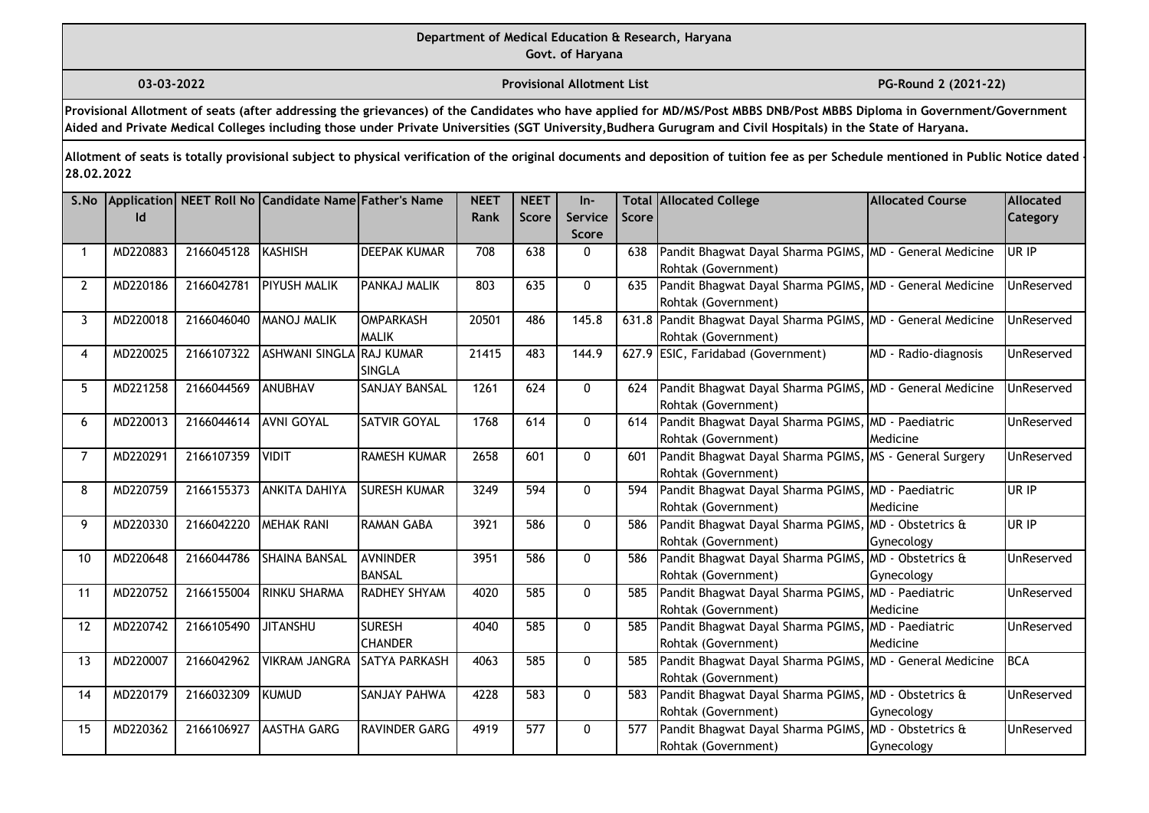**03-03-2022 Provisional Allotment List PG-Round 2 (2021-22)** 

**Provisional Allotment of seats (after addressing the grievances) of the Candidates who have applied for MD/MS/Post MBBS DNB/Post MBBS Diploma in Government/Government Aided and Private Medical Colleges including those under Private Universities (SGT University,Budhera Gurugram and Civil Hospitals) in the State of Haryana.**

| S.No        | Id       |            | Application NEET Roll No Candidate Name Father's Name |                                   | <b>NEET</b><br><b>Rank</b> | <b>NEET</b><br><b>Score</b> | In-<br><b>Service</b><br><b>Score</b> | Score | <b>Total Allocated College</b>                                                        | <b>Allocated Course</b>         | Allocated<br>Category |
|-------------|----------|------------|-------------------------------------------------------|-----------------------------------|----------------------------|-----------------------------|---------------------------------------|-------|---------------------------------------------------------------------------------------|---------------------------------|-----------------------|
| 1           | MD220883 | 2166045128 | KASHISH                                               | <b>DEEPAK KUMAR</b>               | 708                        | 638                         | 0                                     | 638   | Pandit Bhagwat Dayal Sharma PGIMS, MD - General Medicine<br>Rohtak (Government)       |                                 | UR IP                 |
| $2^{\circ}$ | MD220186 | 2166042781 | <b>PIYUSH MALIK</b>                                   | PANKAJ MALIK                      | 803                        | 635                         | $\mathbf 0$                           | 635   | Pandit Bhagwat Dayal Sharma PGIMS, MD - General Medicine<br>Rohtak (Government)       |                                 | UnReserved            |
| 3           | MD220018 | 2166046040 | MANOJ MALIK                                           | <b>IOMPARKASH</b><br><b>MALIK</b> | 20501                      | 486                         | 145.8                                 |       | 631.8 Pandit Bhagwat Dayal Sharma PGIMS, MD - General Medicine<br>Rohtak (Government) |                                 | UnReserved            |
| 4           | MD220025 | 2166107322 | ASHWANI SINGLA RAJ KUMAR                              | <b>SINGLA</b>                     | 21415                      | 483                         | 144.9                                 |       | 627.9 ESIC, Faridabad (Government)                                                    | MD - Radio-diagnosis            | UnReserved            |
| 5           | MD221258 | 2166044569 | ANUBHAV                                               | <b>SANJAY BANSAL</b>              | 1261                       | 624                         | 0                                     | 624   | Pandit Bhagwat Dayal Sharma PGIMS, MD - General Medicine<br>Rohtak (Government)       |                                 | UnReserved            |
| 6           | MD220013 | 2166044614 | <b>AVNI GOYAL</b>                                     | <b>SATVIR GOYAL</b>               | 1768                       | 614                         | $\mathbf{0}$                          | 614   | Pandit Bhagwat Dayal Sharma PGIMS, MD - Paediatric<br>Rohtak (Government)             | Medicine                        | UnReserved            |
|             | MD220291 | 2166107359 | <b>NIDIT</b>                                          | <b>RAMESH KUMAR</b>               | 2658                       | 601                         | $\Omega$                              | 601   | Pandit Bhagwat Dayal Sharma PGIMS, MS - General Surgery<br>Rohtak (Government)        |                                 | UnReserved            |
| 8           | MD220759 | 2166155373 | <b>ANKITA DAHIYA</b>                                  | <b>SURESH KUMAR</b>               | 3249                       | 594                         | $\mathbf{0}$                          | 594   | Pandit Bhagwat Dayal Sharma PGIMS, MD - Paediatric<br>Rohtak (Government)             | Medicine                        | UR IP                 |
| 9           | MD220330 | 2166042220 | <b>MEHAK RANI</b>                                     | <b>RAMAN GABA</b>                 | 3921                       | 586                         | $\mathbf{0}$                          | 586   | Pandit Bhagwat Dayal Sharma PGIMS, MD - Obstetrics &<br>Rohtak (Government)           | Gynecology                      | UR IP                 |
| 10          | MD220648 | 2166044786 | <b>SHAINA BANSAL</b>                                  | <b>AVNINDER</b><br><b>BANSAL</b>  | 3951                       | 586                         | $\mathbf{0}$                          | 586   | Pandit Bhagwat Dayal Sharma PGIMS, MD - Obstetrics &<br>Rohtak (Government)           | Gynecology                      | UnReserved            |
| 11          | MD220752 | 2166155004 | RINKU SHARMA                                          | <b>RADHEY SHYAM</b>               | 4020                       | 585                         | $\Omega$                              | 585   | Pandit Bhagwat Dayal Sharma PGIMS,<br>Rohtak (Government)                             | MD - Paediatric<br>Medicine     | UnReserved            |
| 12          | MD220742 | 2166105490 | <b>JITANSHU</b>                                       | <b>SURESH</b><br><b>CHANDER</b>   | 4040                       | 585                         | $\mathbf{0}$                          | 585   | Pandit Bhagwat Dayal Sharma PGIMS,<br>Rohtak (Government)                             | MD - Paediatric<br>Medicine     | UnReserved            |
| 13          | MD220007 | 2166042962 | <b>VIKRAM JANGRA</b>                                  | <b>SATYA PARKASH</b>              | 4063                       | 585                         | $\mathbf{0}$                          | 585   | Pandit Bhagwat Dayal Sharma PGIMS, MD - General Medicine<br>Rohtak (Government)       |                                 | <b>BCA</b>            |
| 14          | MD220179 | 2166032309 | <b>I</b> KUMUD                                        | <b>SANJAY PAHWA</b>               | 4228                       | 583                         | $\mathbf 0$                           | 583   | Pandit Bhagwat Dayal Sharma PGIMS, MD - Obstetrics &<br>Rohtak (Government)           | Gynecology                      | UnReserved            |
| 15          | MD220362 | 2166106927 | <b>AASTHA GARG</b>                                    | <b>RAVINDER GARG</b>              | 4919                       | 577                         | $\mathbf{0}$                          | 577   | Pandit Bhagwat Dayal Sharma PGIMS,<br>Rohtak (Government)                             | MD - Obstetrics &<br>Gynecology | UnReserved            |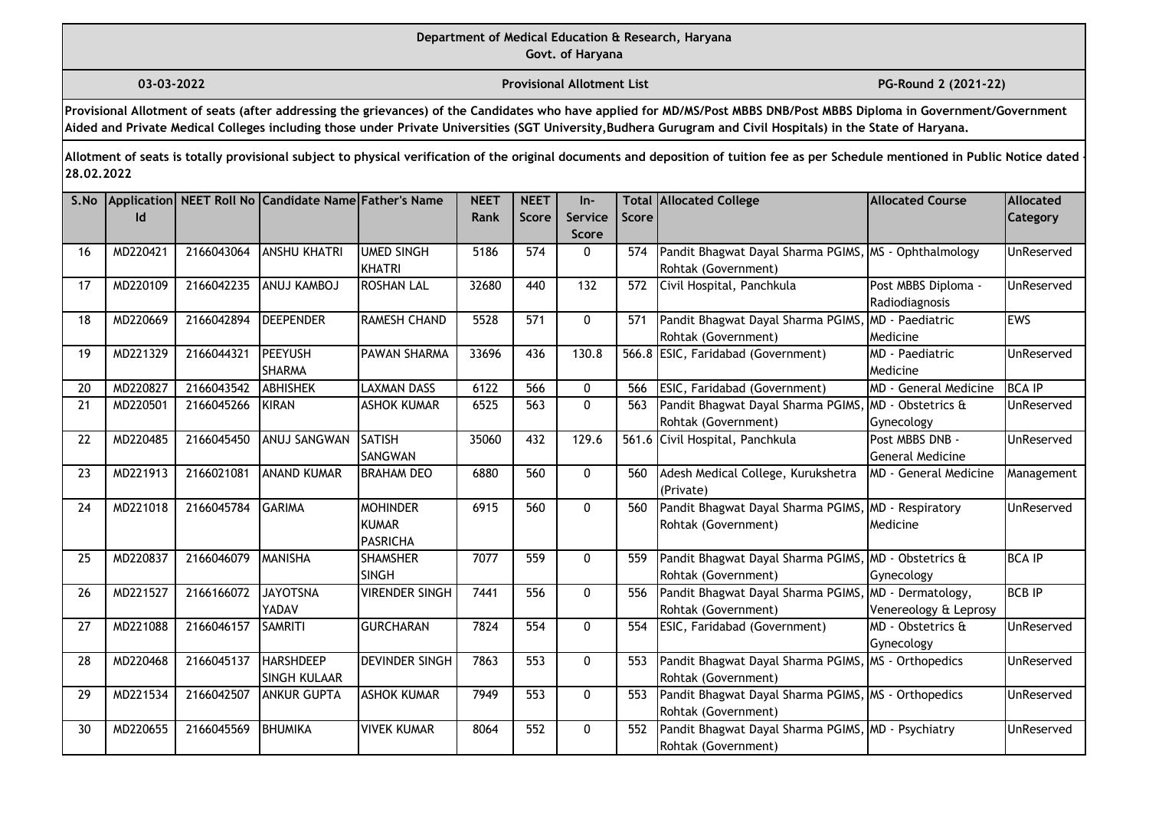**03-03-2022 Provisional Allotment List PG-Round 2 (2021-22)** 

**Provisional Allotment of seats (after addressing the grievances) of the Candidates who have applied for MD/MS/Post MBBS DNB/Post MBBS Diploma in Government/Government Aided and Private Medical Colleges including those under Private Universities (SGT University,Budhera Gurugram and Civil Hospitals) in the State of Haryana.**

| S.No | Id       |            | Application NEET Roll No Candidate Name Father's Name |                                                    | <b>NEET</b><br>Rank | <b>NEET</b><br><b>Score</b> | $In-$<br>Service<br><b>Score</b> | Score | <b>Total Allocated College</b>                                               | <b>Allocated Course</b>                      | Allocated<br><b>Category</b> |
|------|----------|------------|-------------------------------------------------------|----------------------------------------------------|---------------------|-----------------------------|----------------------------------|-------|------------------------------------------------------------------------------|----------------------------------------------|------------------------------|
| 16   | MD220421 | 2166043064 | <b>ANSHU KHATRI</b>                                   | <b>UMED SINGH</b><br>KHATRI                        | 5186                | 574                         | $\Omega$                         | 574   | Pandit Bhagwat Dayal Sharma PGIMS, MS - Ophthalmology<br>Rohtak (Government) |                                              | UnReserved                   |
| 17   | MD220109 | 2166042235 | ANUJ KAMBOJ                                           | <b>ROSHAN LAL</b>                                  | 32680               | 440                         | 132                              | 572   | Civil Hospital, Panchkula                                                    | Post MBBS Diploma -<br>Radiodiagnosis        | UnReserved                   |
| 18   | MD220669 | 2166042894 | <b>DEEPENDER</b>                                      | RAMESH CHAND                                       | 5528                | 571                         | $\mathbf{0}$                     | 571   | Pandit Bhagwat Dayal Sharma PGIMS<br>Rohtak (Government)                     | MD - Paediatric<br>Medicine                  | EWS                          |
| 19   | MD221329 | 2166044321 | <b>PEEYUSH</b><br><b>SHARMA</b>                       | <b>PAWAN SHARMA</b>                                | 33696               | 436                         | 130.8                            |       | 566.8 ESIC, Faridabad (Government)                                           | MD - Paediatric<br>Medicine                  | UnReserved                   |
| 20   | MD220827 | 2166043542 | <b>ABHISHEK</b>                                       | <b>LAXMAN DASS</b>                                 | 6122                | 566                         | 0                                | 566   | ESIC, Faridabad (Government)                                                 | <b>MD</b> - General Medicine                 | <b>BCA IP</b>                |
| 21   | MD220501 | 2166045266 | <b>KIRAN</b>                                          | <b>ASHOK KUMAR</b>                                 | 6525                | 563                         | $\pmb{0}$                        | 563   | Pandit Bhagwat Dayal Sharma PGIMS<br>Rohtak (Government)                     | MD - Obstetrics &<br>Gynecology              | UnReserved                   |
| 22   | MD220485 | 2166045450 | ANUJ SANGWAN                                          | <b>SATISH</b><br><b>SANGWAN</b>                    | 35060               | 432                         | 129.6                            |       | 561.6 Civil Hospital, Panchkula                                              | Post MBBS DNB -<br><b>General Medicine</b>   | UnReserved                   |
| 23   | MD221913 | 2166021081 | <b>ANAND KUMAR</b>                                    | <b>BRAHAM DEO</b>                                  | 6880                | 560                         | $\mathbf{0}$                     | 560   | Adesh Medical College, Kurukshetra<br>(Private)                              | <b>MD</b> - General Medicine                 | Management                   |
| 24   | MD221018 | 2166045784 | <b>GARIMA</b>                                         | <b>MOHINDER</b><br><b>KUMAR</b><br><b>PASRICHA</b> | 6915                | 560                         | $\mathbf{0}$                     | 560   | Pandit Bhagwat Dayal Sharma PGIMS<br>Rohtak (Government)                     | $\sqrt{\text{MD}}$ - Respiratory<br>Medicine | UnReserved                   |
| 25   | MD220837 | 2166046079 | MANISHA                                               | <b>SHAMSHER</b><br><b>SINGH</b>                    | 7077                | 559                         | $\mathbf{0}$                     | 559   | Pandit Bhagwat Dayal Sharma PGIMS<br>Rohtak (Government)                     | MD - Obstetrics &<br>Gynecology              | <b>BCA IP</b>                |
| 26   | MD221527 | 2166166072 | <b>JAYOTSNA</b><br>YADAV                              | <b>VIRENDER SINGH</b>                              | 7441                | 556                         | $\mathbf{0}$                     | 556   | Pandit Bhagwat Dayal Sharma PGIMS<br>Rohtak (Government)                     | MD - Dermatology,<br>Venereology & Leprosy   | <b>BCB IP</b>                |
| 27   | MD221088 | 2166046157 | <b>SAMRITI</b>                                        | <b>GURCHARAN</b>                                   | 7824                | 554                         | $\mathbf{0}$                     | 554   | ESIC, Faridabad (Government)                                                 | MD - Obstetrics &<br>Gynecology              | UnReserved                   |
| 28   | MD220468 | 2166045137 | <b>HARSHDEEP</b><br><b>SINGH KULAAR</b>               | <b>DEVINDER SINGH</b>                              | 7863                | 553                         | 0                                | 553   | Pandit Bhagwat Dayal Sharma PGIMS,<br>Rohtak (Government)                    | , MS - Orthopedics                           | UnReserved                   |
| 29   | MD221534 | 2166042507 | <b>ANKUR GUPTA</b>                                    | <b>ASHOK KUMAR</b>                                 | 7949                | 553                         | $\mathbf{0}$                     | 553   | Pandit Bhagwat Dayal Sharma PGIMS, MS - Orthopedics<br>Rohtak (Government)   |                                              | UnReserved                   |
| 30   | MD220655 | 2166045569 | BHUMIKA                                               | <b>VIVEK KUMAR</b>                                 | 8064                | 552                         | $\mathbf{0}$                     | 552   | Pandit Bhagwat Dayal Sharma PGIMS, MD - Psychiatry<br>Rohtak (Government)    |                                              | UnReserved                   |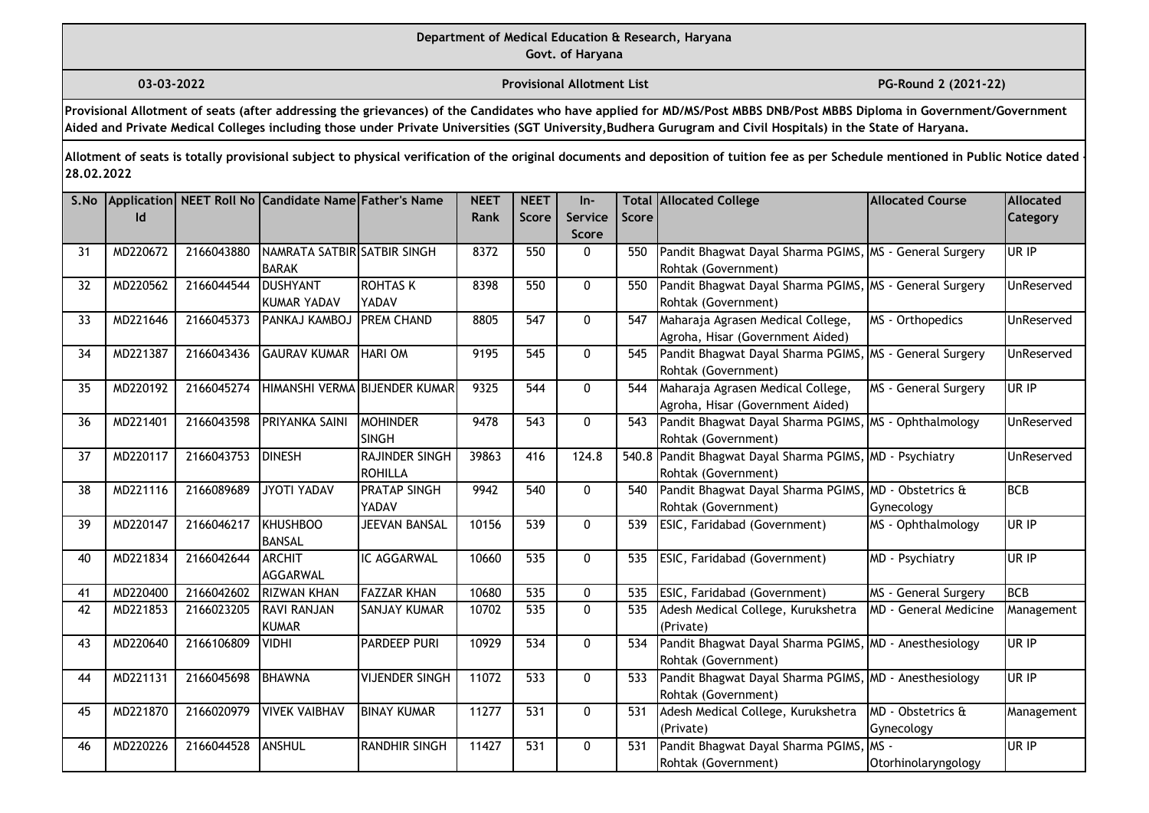**03-03-2022 Provisional Allotment List PG-Round 2 (2021-22)** 

**Provisional Allotment of seats (after addressing the grievances) of the Candidates who have applied for MD/MS/Post MBBS DNB/Post MBBS Diploma in Government/Government Aided and Private Medical Colleges including those under Private Universities (SGT University,Budhera Gurugram and Civil Hospitals) in the State of Haryana.**

| S.No | Id       |            | Application NEET Roll No Candidate Name Father's Name |                                  | <b>NEET</b><br>Rank | <b>NEET</b><br>Score | $In-$<br>Service | <b>Score</b> | <b>Total Allocated College</b>                                                 | <b>Allocated Course</b>         | Allocated<br><b>Category</b> |
|------|----------|------------|-------------------------------------------------------|----------------------------------|---------------------|----------------------|------------------|--------------|--------------------------------------------------------------------------------|---------------------------------|------------------------------|
|      |          |            |                                                       |                                  |                     |                      | <b>Score</b>     |              |                                                                                |                                 |                              |
| 31   | MD220672 | 2166043880 | NAMRATA SATBIR SATBIR SINGH<br><b>BARAK</b>           |                                  | 8372                | 550                  | 0                | 550          | Pandit Bhagwat Dayal Sharma PGIMS, MS - General Surgery<br>Rohtak (Government) |                                 | UR IP                        |
| 32   | MD220562 | 2166044544 | <b>DUSHYANT</b>                                       | <b>ROHTAS K</b>                  | 8398                | 550                  | 0                | 550          | Pandit Bhagwat Dayal Sharma PGIMS, MS - General Surgery                        |                                 | UnReserved                   |
|      |          |            | <b>KUMAR YADAV</b>                                    | YADAV                            |                     |                      |                  |              | Rohtak (Government)                                                            |                                 |                              |
| 33   | MD221646 | 2166045373 | PANKAJ KAMBOJ                                         | <b>PREM CHAND</b>                | 8805                | 547                  | $\mathbf{0}$     | 547          | Maharaja Agrasen Medical College,<br>Agroha, Hisar (Government Aided)          | MS - Orthopedics                | UnReserved                   |
| 34   | MD221387 | 2166043436 | <b>GAURAV KUMAR</b>                                   | <b>HARI OM</b>                   | 9195                | 545                  | 0                | 545          | Pandit Bhagwat Dayal Sharma PGIMS, MS - General Surgery<br>Rohtak (Government) |                                 | UnReserved                   |
| 35   | MD220192 | 2166045274 |                                                       | HIMANSHI VERMA BIJENDER KUMAR    | 9325                | 544                  | $\mathbf{0}$     | 544          | Maharaja Agrasen Medical College,<br>Agroha, Hisar (Government Aided)          | MS - General Surgery            | UR IP                        |
| 36   | MD221401 | 2166043598 | PRIYANKA SAINI                                        | MOHINDER<br><b>SINGH</b>         | 9478                | 543                  | $\mathbf{0}$     | 543          | Pandit Bhagwat Dayal Sharma PGIMS, MS - Ophthalmology<br>Rohtak (Government)   |                                 | UnReserved                   |
| 37   | MD220117 | 2166043753 | <b>DINESH</b>                                         | RAJINDER SINGH<br><b>ROHILLA</b> | 39863               | 416                  | 124.8            |              | 540.8 Pandit Bhagwat Dayal Sharma PGIMS,<br>Rohtak (Government)                | , MD - Psychiatry               | UnReserved                   |
| 38   | MD221116 | 2166089689 | JYOTI YADAV                                           | <b>PRATAP SINGH</b><br>YADAV     | 9942                | 540                  | $\mathbf{0}$     | 540          | Pandit Bhagwat Dayal Sharma PGIMS<br>Rohtak (Government)                       | MD - Obstetrics &<br>Gynecology | BCB                          |
| 39   | MD220147 | 2166046217 | KHUSHBOO<br><b>BANSAL</b>                             | <b>JEEVAN BANSAL</b>             | 10156               | 539                  | $\mathbf{0}$     | 539          | ESIC, Faridabad (Government)                                                   | MS - Ophthalmology              | UR IP                        |
| 40   | MD221834 | 2166042644 | ARCHIT<br>AGGARWAL                                    | IC AGGARWAL                      | 10660               | 535                  | $\mathbf{0}$     | 535          | ESIC, Faridabad (Government)                                                   | MD - Psychiatry                 | UR IP                        |
| 41   | MD220400 | 2166042602 | <b>RIZWAN KHAN</b>                                    | <b>FAZZAR KHAN</b>               | 10680               | 535                  | 0                | 535          | ESIC, Faridabad (Government)                                                   | MS - General Surgery            | BCB                          |
| 42   | MD221853 | 2166023205 | <b>RAVI RANJAN</b><br><b>KUMAR</b>                    | <b>SANJAY KUMAR</b>              | 10702               | 535                  | 0                | 535          | Adesh Medical College, Kurukshetra<br>(Private)                                | <b>MD</b> - General Medicine    | Management                   |
| 43   | MD220640 | 2166106809 | <b>VIDHI</b>                                          | PARDEEP PURI                     | 10929               | 534                  | $\mathbf 0$      | 534          | Pandit Bhagwat Dayal Sharma PGIMS, MD - Anesthesiology<br>Rohtak (Government)  |                                 | UR IP                        |
| 44   | MD221131 | 2166045698 | BHAWNA                                                | <b>VIJENDER SINGH</b>            | 11072               | 533                  | 0                | 533          | Pandit Bhagwat Dayal Sharma PGIMS, MD - Anesthesiology<br>Rohtak (Government)  |                                 | UR IP                        |
| 45   | MD221870 | 2166020979 | <b>VIVEK VAIBHAV</b>                                  | <b>BINAY KUMAR</b>               | 11277               | 531                  | $\mathbf{0}$     | 531          | Adesh Medical College, Kurukshetra<br>(Private)                                | MD - Obstetrics &<br>Gynecology | Management                   |
| 46   | MD220226 | 2166044528 | ANSHUL                                                | <b>RANDHIR SINGH</b>             | 11427               | 531                  | 0                | 531          | Pandit Bhagwat Dayal Sharma PGIMS, MS -<br>Rohtak (Government)                 | Otorhinolaryngology             | UR IP                        |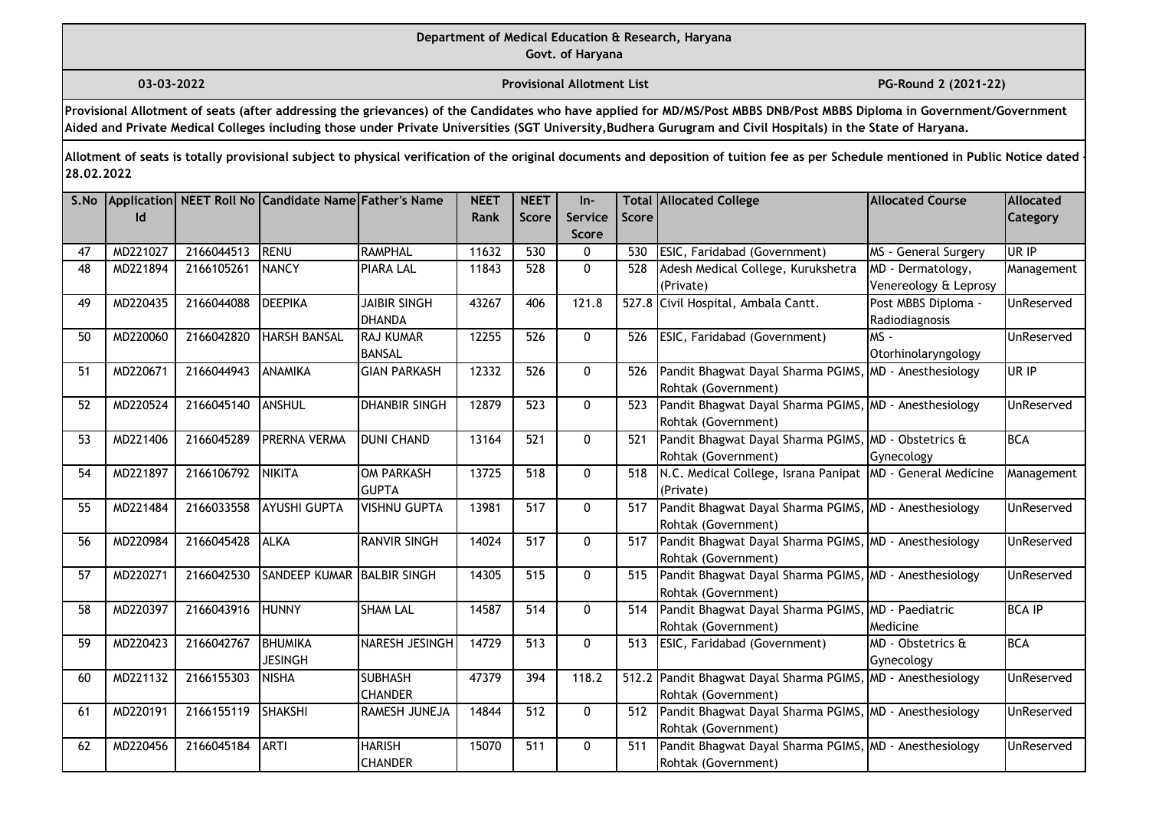## **Department of Medical Education & Research, Haryana**

**Govt. of Haryana**

**03-03-2022 Provisional Allotment List PG-Round 2 (2021-22)** 

**Provisional Allotment of seats (after addressing the grievances) of the Candidates who have applied for MD/MS/Post MBBS DNB/Post MBBS Diploma in Government/Government Aided and Private Medical Colleges including those under Private Universities (SGT University,Budhera Gurugram and Civil Hospitals) in the State of Haryana.**

| S.No |          |            | Application NEET Roll No Candidate Name Father's Name |                                      | <b>NEET</b> | <b>NEET</b>      | $In-$                   |       | <b>Total Allocated College</b>                                                      | <b>Allocated Course</b>                    | <b>Allocated</b>  |
|------|----------|------------|-------------------------------------------------------|--------------------------------------|-------------|------------------|-------------------------|-------|-------------------------------------------------------------------------------------|--------------------------------------------|-------------------|
|      | Id       |            |                                                       |                                      | Rank        | <b>Score</b>     | Service<br><b>Score</b> | Score |                                                                                     |                                            | Category          |
| 47   | MD221027 | 2166044513 | <b>RENU</b>                                           | RAMPHAL                              | 11632       | 530              | 0                       | 530   | ESIC, Faridabad (Government)                                                        | MS - General Surgery                       | UR IP             |
| 48   | MD221894 | 2166105261 | <b>NANCY</b>                                          | <b>PIARA LAL</b>                     | 11843       | 528              | 0                       | 528   | Adesh Medical College, Kurukshetra<br>(Private)                                     | MD - Dermatology,<br>Venereology & Leprosy | Management        |
| 49   | MD220435 | 2166044088 | <b>DEEPIKA</b>                                        | <b>JAIBIR SINGH</b><br><b>DHANDA</b> | 43267       | 406              | 121.8                   |       | 527.8 Civil Hospital, Ambala Cantt.                                                 | Post MBBS Diploma -<br>Radiodiagnosis      | UnReserved        |
| 50   | MD220060 | 2166042820 | <b>HARSH BANSAL</b>                                   | <b>RAJ KUMAR</b><br>BANSAL           | 12255       | $\overline{526}$ | $\Omega$                | 526   | ESIC, Faridabad (Government)                                                        | $MS -$<br>Otorhinolaryngology              | UnReserved        |
| 51   | MD220671 | 2166044943 | <b>ANAMIKA</b>                                        | <b>GIAN PARKASH</b>                  | 12332       | 526              | $\mathbf{0}$            | 526   | Pandit Bhagwat Dayal Sharma PGIMS,<br>Rohtak (Government)                           | , MD - Anesthesiology                      | UR IP             |
| 52   | MD220524 | 2166045140 | <b>ANSHUL</b>                                         | <b>DHANBIR SINGH</b>                 | 12879       | 523              | $\mathbf{0}$            | 523   | Pandit Bhagwat Dayal Sharma PGIMS, MD - Anesthesiology<br>Rohtak (Government)       |                                            | <b>UnReserved</b> |
| 53   | MD221406 | 2166045289 | PRERNA VERMA                                          | <b>DUNI CHAND</b>                    | 13164       | 521              | $\mathbf{0}$            | 521   | Pandit Bhagwat Dayal Sharma PGIMS, MD - Obstetrics &<br>Rohtak (Government)         | Gynecology                                 | <b>BCA</b>        |
| 54   | MD221897 | 2166106792 | <b>NIKITA</b>                                         | <b>OM PARKASH</b><br><b>GUPTA</b>    | 13725       | 518              | $\mathbf{0}$            | 518   | N.C. Medical College, Israna Panipat   MD - General Medicine<br>(Private)           |                                            | Management        |
| 55   | MD221484 | 2166033558 | <b>AYUSHI GUPTA</b>                                   | <b>VISHNU GUPTA</b>                  | 13981       | 517              | $\mathbf{0}$            | 517   | Pandit Bhagwat Dayal Sharma PGIMS, MD - Anesthesiology<br>Rohtak (Government)       |                                            | UnReserved        |
| 56   | MD220984 | 2166045428 | <b>ALKA</b>                                           | <b>RANVIR SINGH</b>                  | 14024       | 517              | 0                       | 517   | Pandit Bhagwat Dayal Sharma PGIMS, MD - Anesthesiology<br>Rohtak (Government)       |                                            | UnReserved        |
| 57   | MD220271 | 2166042530 | SANDEEP KUMAR BALBIR SINGH                            |                                      | 14305       | 515              | $\mathbf{0}$            | 515   | Pandit Bhagwat Dayal Sharma PGIMS, MD - Anesthesiology<br>Rohtak (Government)       |                                            | UnReserved        |
| 58   | MD220397 | 2166043916 | <b>HUNNY</b>                                          | <b>SHAM LAL</b>                      | 14587       | 514              | 0                       | 514   | Pandit Bhagwat Dayal Sharma PGIMS, MD - Paediatric<br>Rohtak (Government)           | Medicine                                   | <b>BCA IP</b>     |
| 59   | MD220423 | 2166042767 | BHUMIKA<br><b>JESINGH</b>                             | NARESH JESINGH                       | 14729       | 513              | 0                       | 513   | ESIC, Faridabad (Government)                                                        | MD - Obstetrics &<br>Gynecology            | <b>BCA</b>        |
| 60   | MD221132 | 2166155303 | <b>NISHA</b>                                          | <b>SUBHASH</b><br><b>CHANDER</b>     | 47379       | 394              | 118.2                   |       | 512.2 Pandit Bhagwat Dayal Sharma PGIMS, MD - Anesthesiology<br>Rohtak (Government) |                                            | UnReserved        |
| 61   | MD220191 | 2166155119 | <b>SHAKSHI</b>                                        | RAMESH JUNEJA                        | 14844       | 512              | 0                       | 512   | Pandit Bhagwat Dayal Sharma PGIMS, MD - Anesthesiology<br>Rohtak (Government)       |                                            | UnReserved        |
| 62   | MD220456 | 2166045184 | <b>ARTI</b>                                           | <b>HARISH</b><br><b>CHANDER</b>      | 15070       | 511              | 0                       | 511   | Pandit Bhagwat Dayal Sharma PGIMS, MD - Anesthesiology<br>Rohtak (Government)       |                                            | UnReserved        |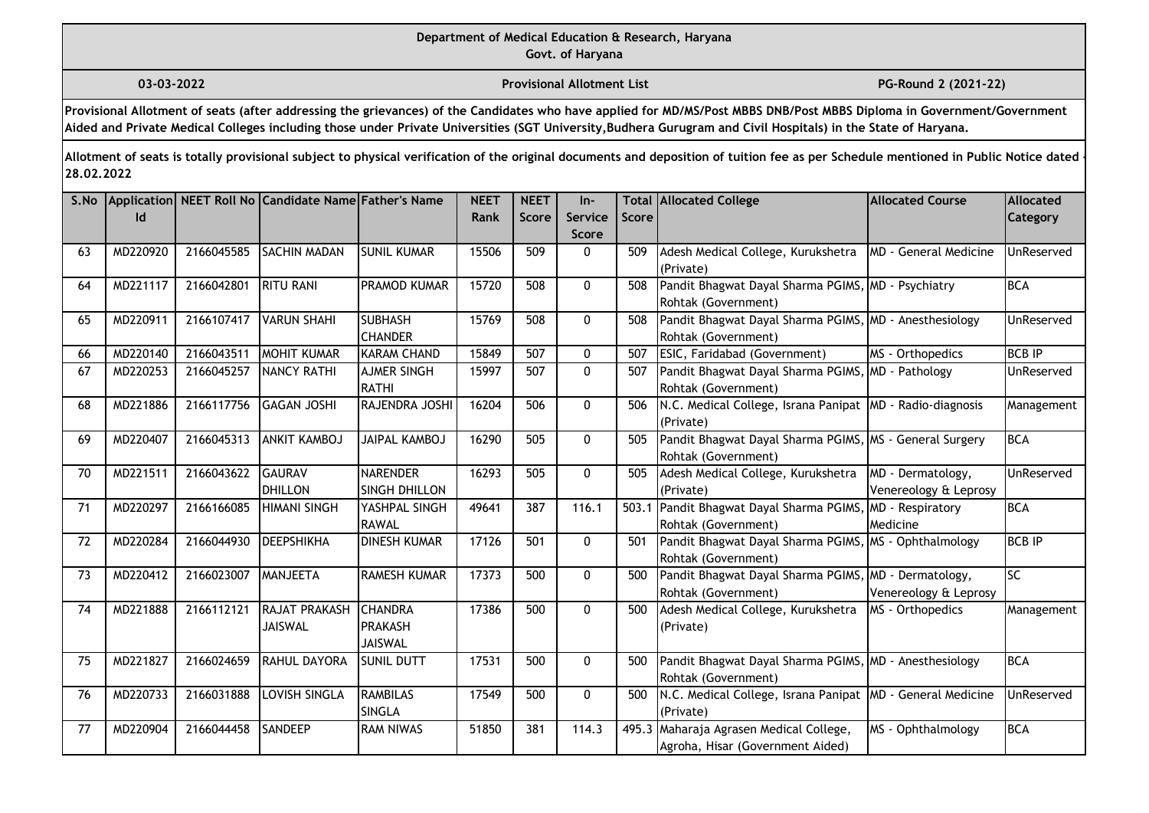**03-03-2022 Provisional Allotment List PG-Round 2 (2021-22)** 

**Provisional Allotment of seats (after addressing the grievances) of the Candidates who have applied for MD/MS/Post MBBS DNB/Post MBBS Diploma in Government/Government Aided and Private Medical Colleges including those under Private Universities (SGT University,Budhera Gurugram and Civil Hospitals) in the State of Haryana.**

| S.No | Id       |            | Application NEET Roll No Candidate Name Father's Name |                                             | <b>NEET</b><br>Rank | <b>NEET</b><br><b>Score</b> | $In-$<br><b>Service</b><br><b>Score</b> | Score | <b>Total Allocated College</b>                                                   | <b>Allocated Course</b>                    | Allocated<br>Category |
|------|----------|------------|-------------------------------------------------------|---------------------------------------------|---------------------|-----------------------------|-----------------------------------------|-------|----------------------------------------------------------------------------------|--------------------------------------------|-----------------------|
| 63   | MD220920 | 2166045585 | <b>SACHIN MADAN</b>                                   | <b>SUNIL KUMAR</b>                          | 15506               | 509                         | $\mathbf{0}$                            | 509   | Adesh Medical College, Kurukshetra<br>(Private)                                  | MD - General Medicine                      | UnReserved            |
| 64   | MD221117 | 2166042801 | <b>RITU RANI</b>                                      | <b>PRAMOD KUMAR</b>                         | 15720               | 508                         | $\mathbf 0$                             | 508   | Pandit Bhagwat Dayal Sharma PGIMS, MD - Psychiatry<br>Rohtak (Government)        |                                            | <b>BCA</b>            |
| 65   | MD220911 | 2166107417 | <b>VARUN SHAHI</b>                                    | <b>SUBHASH</b><br><b>CHANDER</b>            | 15769               | 508                         | $\mathbf{0}$                            | 508   | Pandit Bhagwat Dayal Sharma PGIMS, MD - Anesthesiology<br>Rohtak (Government)    |                                            | UnReserved            |
| 66   | MD220140 | 2166043511 | <b>MOHIT KUMAR</b>                                    | <b>KARAM CHAND</b>                          | 15849               | 507                         | $\mathbf{0}$                            | 507   | ESIC, Faridabad (Government)                                                     | MS - Orthopedics                           | <b>BCB IP</b>         |
| 67   | MD220253 | 2166045257 | <b>NANCY RATHI</b>                                    | <b>AJMER SINGH</b><br>RATHI                 | 15997               | 507                         | $\pmb{0}$                               | 507   | Pandit Bhagwat Dayal Sharma PGIMS, MD - Pathology<br>Rohtak (Government)         |                                            | UnReserved            |
| 68   | MD221886 | 2166117756 | <b>GAGAN JOSHI</b>                                    | RAJENDRA JOSHI                              | 16204               | 506                         | 0                                       | 506   | N.C. Medical College, Israna Panipat MD - Radio-diagnosis<br>(Private)           |                                            | Management            |
| 69   | MD220407 | 2166045313 | <b>ANKIT KAMBOJ</b>                                   | <b>JAIPAL KAMBOJ</b>                        | 16290               | 505                         | $\mathbf{0}$                            | 505   | Pandit Bhagwat Dayal Sharma PGIMS, MS - General Surgery<br>Rohtak (Government)   |                                            | <b>BCA</b>            |
| 70   | MD221511 | 2166043622 | <b>GAURAV</b><br>DHILLON                              | <b>NARENDER</b><br><b>SINGH DHILLON</b>     | 16293               | 505                         | $\mathbf{0}$                            | 505   | Adesh Medical College, Kurukshetra<br>(Private)                                  | MD - Dermatology,<br>Venereology & Leprosy | UnReserved            |
| 71   | MD220297 | 2166166085 | <b>HIMANI SINGH</b>                                   | YASHPAL SINGH<br><b>RAWAL</b>               | 49641               | 387                         | 116.1                                   |       | 503.1 Pandit Bhagwat Dayal Sharma PGIMS, MD - Respiratory<br>Rohtak (Government) | Medicine                                   | <b>BCA</b>            |
| 72   | MD220284 | 2166044930 | <b>DEEPSHIKHA</b>                                     | <b>DINESH KUMAR</b>                         | 17126               | 501                         | $\mathbf{0}$                            | 501   | Pandit Bhagwat Dayal Sharma PGIMS, MS - Ophthalmology<br>Rohtak (Government)     |                                            | <b>BCB IP</b>         |
| 73   | MD220412 | 2166023007 | MANJEETA                                              | <b>RAMESH KUMAR</b>                         | 17373               | 500                         | $\mathbf 0$                             | 500   | Pandit Bhagwat Dayal Sharma PGIMS, MD - Dermatology,<br>Rohtak (Government)      | Venereology & Leprosy                      | lsc                   |
| 74   | MD221888 | 2166112121 | <b>RAJAT PRAKASH</b><br><b>JAISWAL</b>                | <b>CHANDRA</b><br>PRAKASH<br><b>JAISWAL</b> | 17386               | 500                         | $\mathbf{0}$                            | 500   | Adesh Medical College, Kurukshetra<br>(Private)                                  | MS - Orthopedics                           | Management            |
| 75   | MD221827 | 2166024659 | <b>RAHUL DAYORA</b>                                   | <b>SUNIL DUTT</b>                           | 17531               | 500                         | 0                                       | 500   | Pandit Bhagwat Dayal Sharma PGIMS, MD - Anesthesiology<br>Rohtak (Government)    |                                            | <b>BCA</b>            |
| 76   | MD220733 | 2166031888 | LOVISH SINGLA                                         | <b>RAMBILAS</b><br>SINGLA                   | 17549               | 500                         | $\mathbf{0}$                            | 500   | N.C. Medical College, Israna Panipat   MD - General Medicine<br>(Private)        |                                            | UnReserved            |
| 77   | MD220904 | 2166044458 | <b>SANDEEP</b>                                        | <b>RAM NIWAS</b>                            | 51850               | 381                         | 114.3                                   |       | 495.3 Maharaja Agrasen Medical College,<br>Agroha, Hisar (Government Aided)      | MS - Ophthalmology                         | <b>BCA</b>            |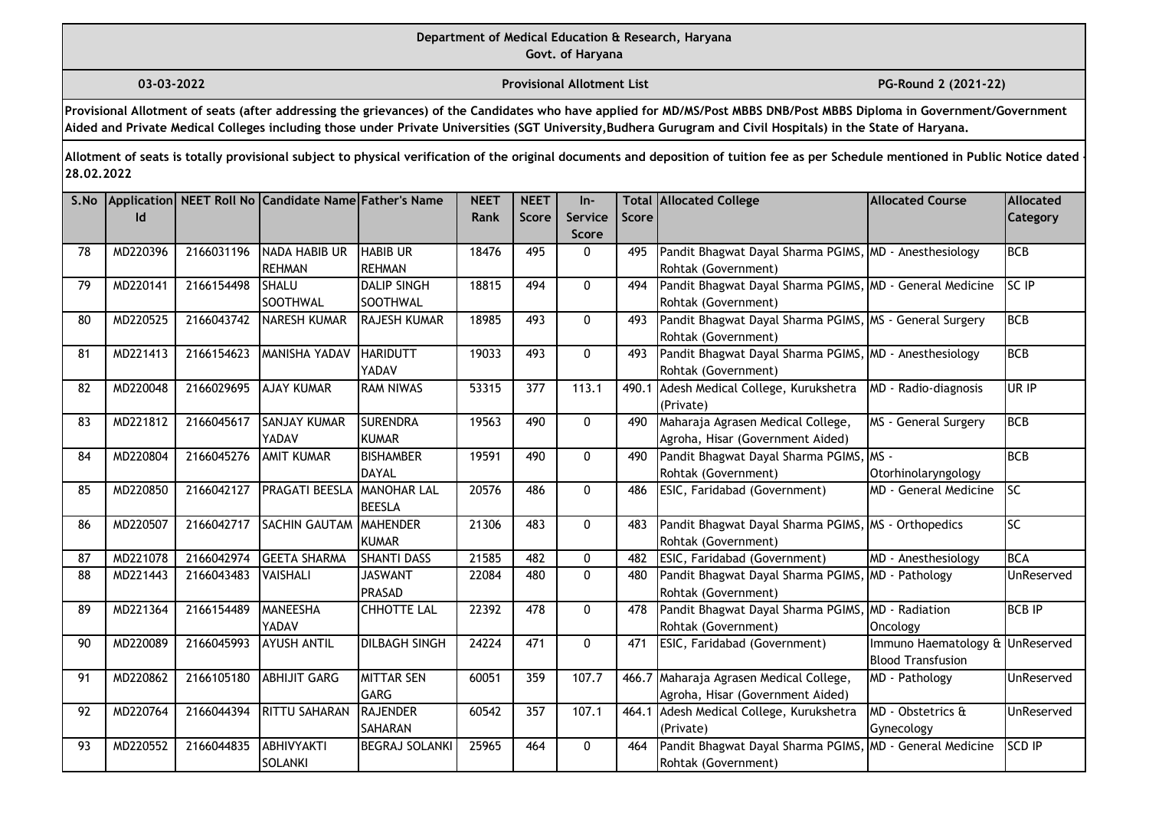**03-03-2022 Provisional Allotment List PG-Round 2 (2021-22)** 

**Provisional Allotment of seats (after addressing the grievances) of the Candidates who have applied for MD/MS/Post MBBS DNB/Post MBBS Diploma in Government/Government Aided and Private Medical Colleges including those under Private Universities (SGT University,Budhera Gurugram and Civil Hospitals) in the State of Haryana.**

| S.No | Id       |            | Application NEET Roll No Candidate Name Father's Name |                                     | <b>NEET</b><br>Rank | <b>NEET</b><br>Score | $In-$<br>Service<br><b>Score</b> | <b>Score</b> | <b>Total Allocated College</b>                                                  | <b>Allocated Course</b>                                     | Allocated<br>Category |
|------|----------|------------|-------------------------------------------------------|-------------------------------------|---------------------|----------------------|----------------------------------|--------------|---------------------------------------------------------------------------------|-------------------------------------------------------------|-----------------------|
| 78   | MD220396 | 2166031196 | NADA HABIB UR<br><b>REHMAN</b>                        | <b>HABIB UR</b><br><b>REHMAN</b>    | 18476               | 495                  | 0                                | 495          | Pandit Bhagwat Dayal Sharma PGIMS, MD - Anesthesiology<br>Rohtak (Government)   |                                                             | <b>BCB</b>            |
| 79   | MD220141 | 2166154498 | SHALU<br>SOOTHWAL                                     | <b>DALIP SINGH</b><br>SOOTHWAL      | 18815               | 494                  | 0                                | 494          | Pandit Bhagwat Dayal Sharma PGIMS, MD - General Medicine<br>Rohtak (Government) |                                                             | <b>SC IP</b>          |
| 80   | MD220525 | 2166043742 | NARESH KUMAR                                          | <b>RAJESH KUMAR</b>                 | 18985               | 493                  | $\Omega$                         | 493          | Pandit Bhagwat Dayal Sharma PGIMS, MS - General Surgery<br>Rohtak (Government)  |                                                             | <b>BCB</b>            |
| 81   | MD221413 | 2166154623 | <b>MANISHA YADAV</b>                                  | <b>HARIDUTT</b><br>YADAV            | 19033               | 493                  | $\mathbf 0$                      | 493          | Pandit Bhagwat Dayal Sharma PGIMS, MD - Anesthesiology<br>Rohtak (Government)   |                                                             | <b>BCB</b>            |
| 82   | MD220048 | 2166029695 | <b>AJAY KUMAR</b>                                     | <b>RAM NIWAS</b>                    | 53315               | 377                  | 113.1                            | 490.1        | Adesh Medical College, Kurukshetra<br>(Private)                                 | MD - Radio-diagnosis                                        | UR IP                 |
| 83   | MD221812 | 2166045617 | <b>SANJAY KUMAR</b><br>YADAV                          | <b>SURENDRA</b><br><b>KUMAR</b>     | 19563               | 490                  | $\mathbf 0$                      | 490          | Maharaja Agrasen Medical College,<br>Agroha, Hisar (Government Aided)           | MS - General Surgery                                        | <b>BCB</b>            |
| 84   | MD220804 | 2166045276 | <b>AMIT KUMAR</b>                                     | <b>BISHAMBER</b><br>DAYAL           | 19591               | 490                  | 0                                | 490          | Pandit Bhagwat Dayal Sharma PGIMS, MS -<br>Rohtak (Government)                  | Otorhinolaryngology                                         | BCB                   |
| 85   | MD220850 | 2166042127 | <b>PRAGATI BEESLA</b>                                 | <b>MANOHAR LAL</b><br><b>BEESLA</b> | 20576               | 486                  | $\mathbf{0}$                     | 486          | ESIC, Faridabad (Government)                                                    | <b>MD - General Medicine</b>                                | lsc                   |
| 86   | MD220507 | 2166042717 | <b>SACHIN GAUTAM</b>                                  | MAHENDER<br><b>KUMAR</b>            | 21306               | 483                  | $\mathbf 0$                      | 483          | Pandit Bhagwat Dayal Sharma PGIMS, MS - Orthopedics<br>Rohtak (Government)      |                                                             | SC                    |
| 87   | MD221078 | 2166042974 | <b>GEETA SHARMA</b>                                   | <b>SHANTI DASS</b>                  | 21585               | 482                  | 0                                | 482          | ESIC, Faridabad (Government)                                                    | MD - Anesthesiology                                         | <b>BCA</b>            |
| 88   | MD221443 | 2166043483 | VAISHALI                                              | <b>JASWANT</b><br>PRASAD            | 22084               | 480                  | $\mathbf{0}$                     | 480          | Pandit Bhagwat Dayal Sharma PGIMS, MD - Pathology<br>Rohtak (Government)        |                                                             | UnReserved            |
| 89   | MD221364 | 2166154489 | MANEESHA<br>YADAV                                     | <b>CHHOTTE LAL</b>                  | 22392               | 478                  | 0                                | 478          | Pandit Bhagwat Dayal Sharma PGIMS,<br>Rohtak (Government)                       | MD - Radiation<br>Oncology                                  | <b>BCB IP</b>         |
| 90   | MD220089 | 2166045993 | <b>AYUSH ANTIL</b>                                    | <b>DILBAGH SINGH</b>                | 24224               | 471                  | 0                                | 471          | ESIC, Faridabad (Government)                                                    | Immuno Haematology & UnReserved<br><b>Blood Transfusion</b> |                       |
| 91   | MD220862 | 2166105180 | <b>ABHIJIT GARG</b>                                   | <b>MITTAR SEN</b><br>GARG           | 60051               | 359                  | 107.7                            | 466.7        | Maharaja Agrasen Medical College,<br>Agroha, Hisar (Government Aided)           | MD - Pathology                                              | UnReserved            |
| 92   | MD220764 | 2166044394 | <b>RITTU SAHARAN</b>                                  | RAJENDER<br><b>SAHARAN</b>          | 60542               | 357                  | 107.1                            | 464.1        | Adesh Medical College, Kurukshetra<br>(Private)                                 | MD - Obstetrics &<br>Gynecology                             | UnReserved            |
| 93   | MD220552 | 2166044835 | ABHIVYAKTI<br>SOLANKI                                 | <b>BEGRAJ SOLANKI</b>               | 25965               | 464                  | 0                                | 464          | Pandit Bhagwat Dayal Sharma PGIMS, MD - General Medicine<br>Rohtak (Government) |                                                             | SCD IP                |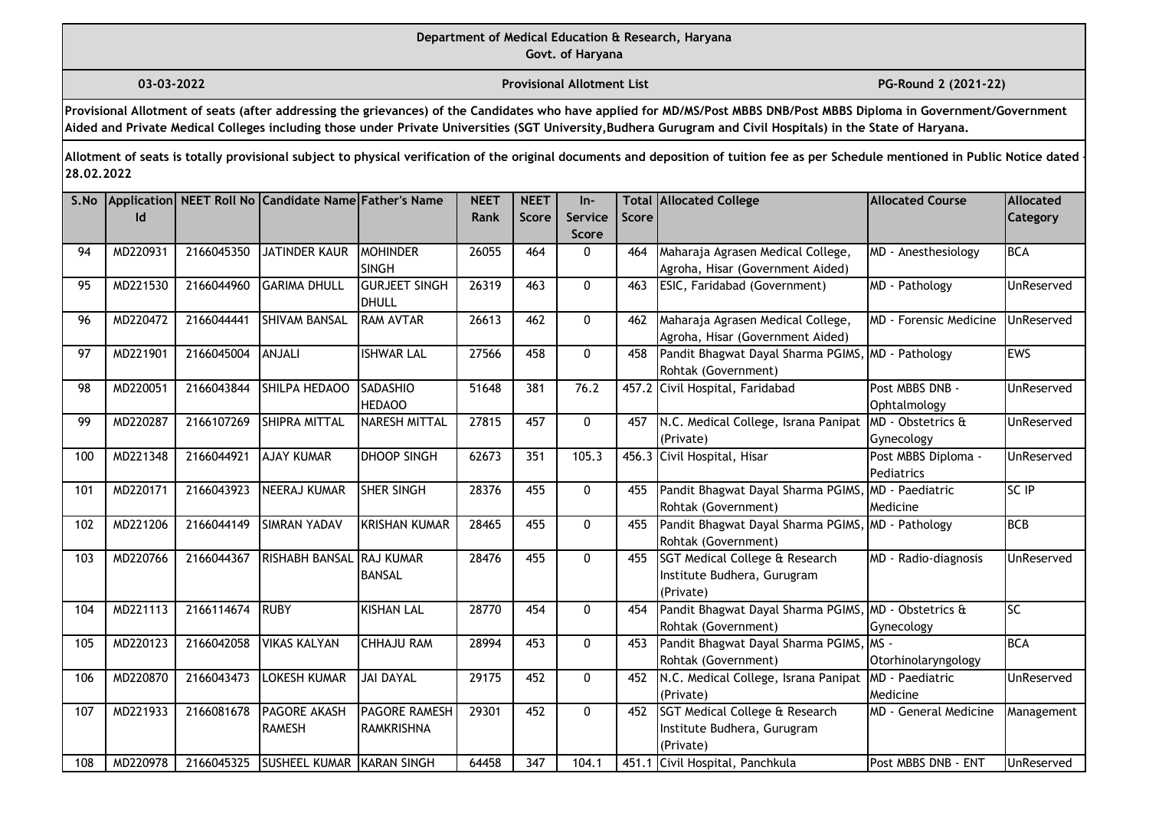# **Department of Medical Education & Research, Haryana**

**Govt. of Haryana**

**03-03-2022 Provisional Allotment List PG-Round 2 (2021-22)** 

**Provisional Allotment of seats (after addressing the grievances) of the Candidates who have applied for MD/MS/Post MBBS DNB/Post MBBS Diploma in Government/Government Aided and Private Medical Colleges including those under Private Universities (SGT University,Budhera Gurugram and Civil Hospitals) in the State of Haryana.**

| S.No | Id       |            | Application NEET Roll No Candidate Name Father's Name |                                        | <b>NEET</b><br><b>Rank</b> | <b>NEET</b><br><b>Score</b> | $In-$<br>Service | <b>Score</b> | <b>Total Allocated College</b>                                              | <b>Allocated Course</b>                  | <b>Allocated</b><br><b>Category</b> |
|------|----------|------------|-------------------------------------------------------|----------------------------------------|----------------------------|-----------------------------|------------------|--------------|-----------------------------------------------------------------------------|------------------------------------------|-------------------------------------|
|      |          |            |                                                       |                                        |                            |                             | <b>Score</b>     |              |                                                                             |                                          |                                     |
| 94   | MD220931 | 2166045350 | <b>JATINDER KAUR</b>                                  | <b>MOHINDER</b>                        | 26055                      | 464                         | $\mathbf{0}$     | 464          | Maharaja Agrasen Medical College,                                           | MD - Anesthesiology                      | <b>BCA</b>                          |
|      |          |            |                                                       | <b>SINGH</b>                           |                            |                             |                  |              | Agroha, Hisar (Government Aided)                                            |                                          |                                     |
| 95   | MD221530 | 2166044960 | <b>GARIMA DHULL</b>                                   | <b>GURJEET SINGH</b><br><b>I</b> DHULL | 26319                      | 463                         | $\mathbf{0}$     | 463          | ESIC, Faridabad (Government)                                                | MD - Pathology                           | UnReserved                          |
| 96   | MD220472 | 2166044441 | <b>SHIVAM BANSAL</b>                                  | <b>RAM AVTAR</b>                       | 26613                      | 462                         | $\mathbf{0}$     | 462          | Maharaja Agrasen Medical College,<br>Agroha, Hisar (Government Aided)       | MD - Forensic Medicine                   | UnReserved                          |
| 97   | MD221901 | 2166045004 | ANJALI                                                | <b>ISHWAR LAL</b>                      | 27566                      | 458                         | $\mathbf 0$      | 458          | Pandit Bhagwat Dayal Sharma PGIMS, MD - Pathology<br>Rohtak (Government)    |                                          | <b>EWS</b>                          |
| 98   | MD220051 | 2166043844 | SHILPA HEDAOO                                         | <b>SADASHIO</b><br><b>HEDAOO</b>       | 51648                      | 381                         | 76.2             |              | 457.2 Civil Hospital, Faridabad                                             | Post MBBS DNB -<br>Ophtalmology          | UnReserved                          |
| 99   | MD220287 | 2166107269 | SHIPRA MITTAL                                         | NARESH MITTAL                          | 27815                      | 457                         | $\mathbf{0}$     | 457          | N.C. Medical College, Israna Panipat<br>(Private)                           | <b>IMD</b> - Obstetrics &<br>Gynecology  | <b>UnReserved</b>                   |
| 100  | MD221348 | 2166044921 | <b>AJAY KUMAR</b>                                     | <b>DHOOP SINGH</b>                     | 62673                      | 351                         | 105.3            | 456.3        | Civil Hospital, Hisar                                                       | Post MBBS Diploma -<br><b>Pediatrics</b> | <b>UnReserved</b>                   |
| 101  | MD220171 | 2166043923 | <b>NEERAJ KUMAR</b>                                   | <b>SHER SINGH</b>                      | 28376                      | 455                         | $\mathbf 0$      | 455          | Pandit Bhagwat Dayal Sharma PGIMS,                                          | MD - Paediatric                          | SC IP                               |
|      |          |            |                                                       |                                        |                            |                             |                  |              | Rohtak (Government)                                                         | Medicine                                 |                                     |
| 102  | MD221206 | 2166044149 | <b>SIMRAN YADAV</b>                                   | KRISHAN KUMAR                          | 28465                      | 455                         | $\mathbf{0}$     | 455          | Pandit Bhagwat Dayal Sharma PGIMS, MD - Pathology<br>Rohtak (Government)    |                                          | <b>BCB</b>                          |
| 103  | MD220766 | 2166044367 | <b>RISHABH BANSAL</b>                                 | . <b>I</b> RAJ KUMAR<br><b>BANSAL</b>  | 28476                      | 455                         | $\Omega$         | 455          | SGT Medical College & Research<br>Institute Budhera, Gurugram<br>(Private)  | MD - Radio-diagnosis                     | UnReserved                          |
| 104  | MD221113 | 2166114674 | <b>RUBY</b>                                           | <b>KISHAN LAL</b>                      | 28770                      | 454                         | $\mathbf{0}$     | 454          | Pandit Bhagwat Dayal Sharma PGIMS, MD - Obstetrics &<br>Rohtak (Government) | Gynecology                               | lsc                                 |
| 105  | MD220123 | 2166042058 | <b>VIKAS KALYAN</b>                                   | <b>CHHAJU RAM</b>                      | 28994                      | 453                         | $\mathbf{0}$     | 453          | Pandit Bhagwat Dayal Sharma PGIMS, MS -<br>Rohtak (Government)              | Otorhinolaryngology                      | <b>BCA</b>                          |
| 106  | MD220870 | 2166043473 | <b>LOKESH KUMAR</b>                                   | <b>JAI DAYAL</b>                       | 29175                      | 452                         | $\mathbf{0}$     | 452          | N.C. Medical College, Israna Panipat<br>(Private)                           | MD - Paediatric<br>Medicine              | UnReserved                          |
| 107  | MD221933 | 2166081678 | <b>PAGORE AKASH</b><br><b>RAMESH</b>                  | <b>PAGORE RAMESH</b><br>RAMKRISHNA     | 29301                      | 452                         | $\mathbf{0}$     | 452          | SGT Medical College & Research<br>Institute Budhera, Gurugram<br>(Private)  | MD - General Medicine                    | Management                          |
| 108  | MD220978 | 2166045325 | SUSHEEL KUMAR KARAN SINGH                             |                                        | 64458                      | 347                         | 104.1            | 451.1        | Civil Hospital, Panchkula                                                   | Post MBBS DNB - ENT                      | UnReserved                          |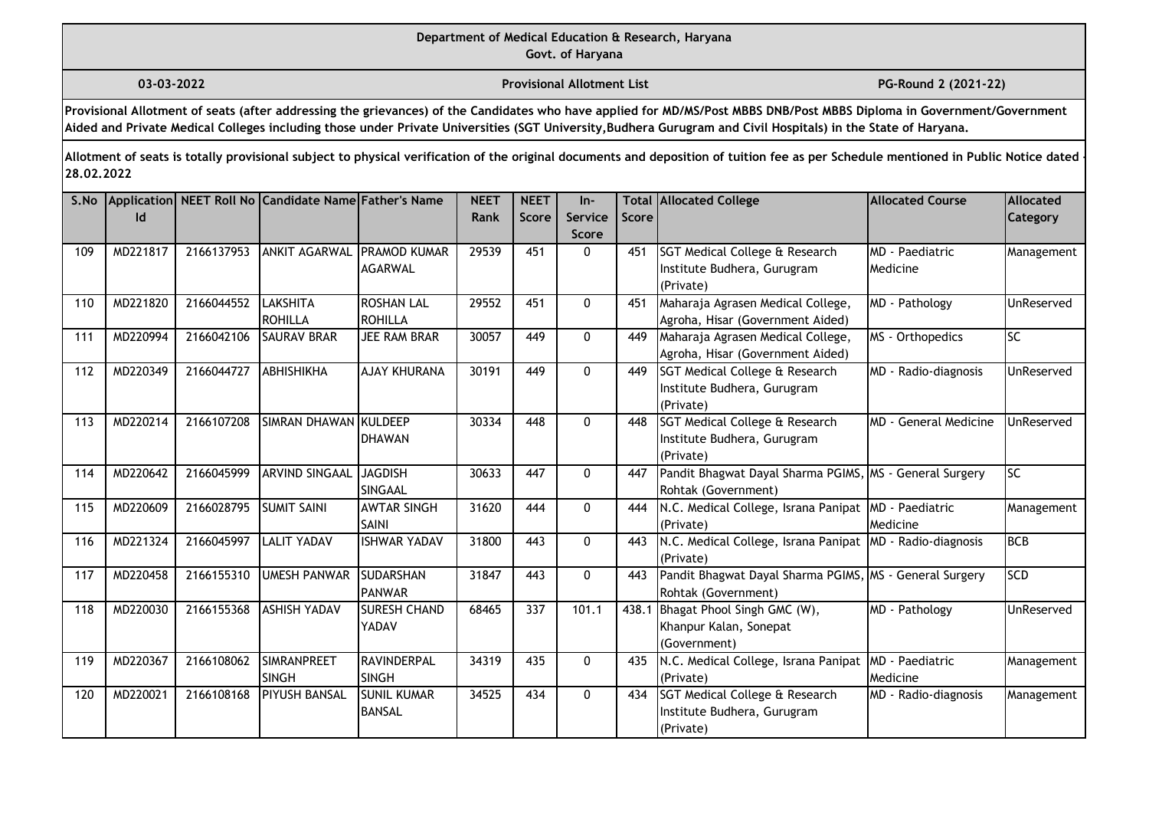**03-03-2022 Provisional Allotment List PG-Round 2 (2021-22)** 

**Provisional Allotment of seats (after addressing the grievances) of the Candidates who have applied for MD/MS/Post MBBS DNB/Post MBBS Diploma in Government/Government Aided and Private Medical Colleges including those under Private Universities (SGT University,Budhera Gurugram and Civil Hospitals) in the State of Haryana.**

| S.No | Id       |            | Application NEET Roll No Candidate Name Father's Name |                                        | <b>NEET</b><br><b>Rank</b> | <b>NEET</b><br><b>Score</b> | $In-$<br><b>Service</b><br><b>Score</b> | <b>Score</b> | <b>Total Allocated College</b>                                                        | <b>Allocated Course</b>                   | Allocated<br><b>Category</b> |
|------|----------|------------|-------------------------------------------------------|----------------------------------------|----------------------------|-----------------------------|-----------------------------------------|--------------|---------------------------------------------------------------------------------------|-------------------------------------------|------------------------------|
| 109  | MD221817 | 2166137953 | <b>ANKIT AGARWAL</b>                                  | <b>IPRAMOD KUMAR</b><br><b>AGARWAL</b> | 29539                      | 451                         | $\Omega$                                | 451          | <b>SGT Medical College &amp; Research</b><br>Institute Budhera, Gurugram<br>(Private) | <b>MD</b> - Paediatric<br><b>Medicine</b> | Management                   |
| 110  | MD221820 | 2166044552 | <b>LAKSHITA</b><br><b>ROHILLA</b>                     | <b>ROSHAN LAL</b><br>ROHILLA           | 29552                      | 451                         | $\mathbf{0}$                            | 451          | Maharaja Agrasen Medical College,<br>Agroha, Hisar (Government Aided)                 | MD - Pathology                            | UnReserved                   |
| 111  | MD220994 | 2166042106 | <b>SAURAV BRAR</b>                                    | JEE RAM BRAR                           | 30057                      | 449                         | $\mathbf{0}$                            | 449          | Maharaja Agrasen Medical College,<br>Agroha, Hisar (Government Aided)                 | MS - Orthopedics                          | lsc                          |
| 112  | MD220349 | 2166044727 | ABHISHIKHA                                            | <b>AJAY KHURANA</b>                    | 30191                      | 449                         | $\mathbf{0}$                            | 449          | SGT Medical College & Research<br>Institute Budhera, Gurugram<br>(Private)            | MD - Radio-diagnosis                      | UnReserved                   |
| 113  | MD220214 | 2166107208 | SIMRAN DHAWAN KULDEEP                                 | <b>IDHAWAN</b>                         | 30334                      | 448                         | $\Omega$                                | 448          | SGT Medical College & Research<br>Institute Budhera, Gurugram<br>(Private)            | MD - General Medicine                     | UnReserved                   |
| 114  | MD220642 | 2166045999 | <b>ARVIND SINGAAL</b>                                 | <b>JAGDISH</b><br><b>SINGAAL</b>       | 30633                      | 447                         | $\mathbf{0}$                            | 447          | Pandit Bhagwat Dayal Sharma PGIMS, MS - General Surgery<br>Rohtak (Government)        |                                           | lsc                          |
| 115  | MD220609 | 2166028795 | <b>SUMIT SAINI</b>                                    | <b>AWTAR SINGH</b><br><b>I</b> SAINI   | 31620                      | 444                         | $\Omega$                                | 444          | N.C. Medical College, Israna Panipat MD - Paediatric<br>(Private)                     | Medicine                                  | Management                   |
| 116  | MD221324 | 2166045997 | <b>LALIT YADAV</b>                                    | <b>ISHWAR YADAV</b>                    | 31800                      | 443                         | $\mathbf 0$                             | 443          | N.C. Medical College, Israna Panipat MD - Radio-diagnosis<br>(Private)                |                                           | BCB                          |
| 117  | MD220458 | 2166155310 | <b>UMESH PANWAR</b>                                   | <b>SUDARSHAN</b><br>PANWAR             | 31847                      | 443                         | $\mathbf{0}$                            | 443          | Pandit Bhagwat Dayal Sharma PGIMS, MS - General Surgery<br>Rohtak (Government)        |                                           | <b>SCD</b>                   |
| 118  | MD220030 | 2166155368 | <b>ASHISH YADAV</b>                                   | <b>SURESH CHAND</b><br>YADAV           | 68465                      | 337                         | 101.1                                   | 438.1        | Bhagat Phool Singh GMC (W),<br>Khanpur Kalan, Sonepat<br>(Government)                 | MD - Pathology                            | UnReserved                   |
| 119  | MD220367 | 2166108062 | <b>SIMRANPREET</b><br><b>SINGH</b>                    | RAVINDERPAL<br><b>I</b> SINGH          | 34319                      | 435                         | $\mathbf{0}$                            | 435          | N.C. Medical College, Israna Panipat<br>(Private)                                     | MD - Paediatric<br>Medicine               | Management                   |
| 120  | MD220021 | 2166108168 | <b>PIYUSH BANSAL</b>                                  | <b>SUNIL KUMAR</b><br>BANSAL           | 34525                      | 434                         | $\mathbf{0}$                            | 434          | SGT Medical College & Research<br>Institute Budhera, Gurugram<br>(Private)            | MD - Radio-diagnosis                      | Management                   |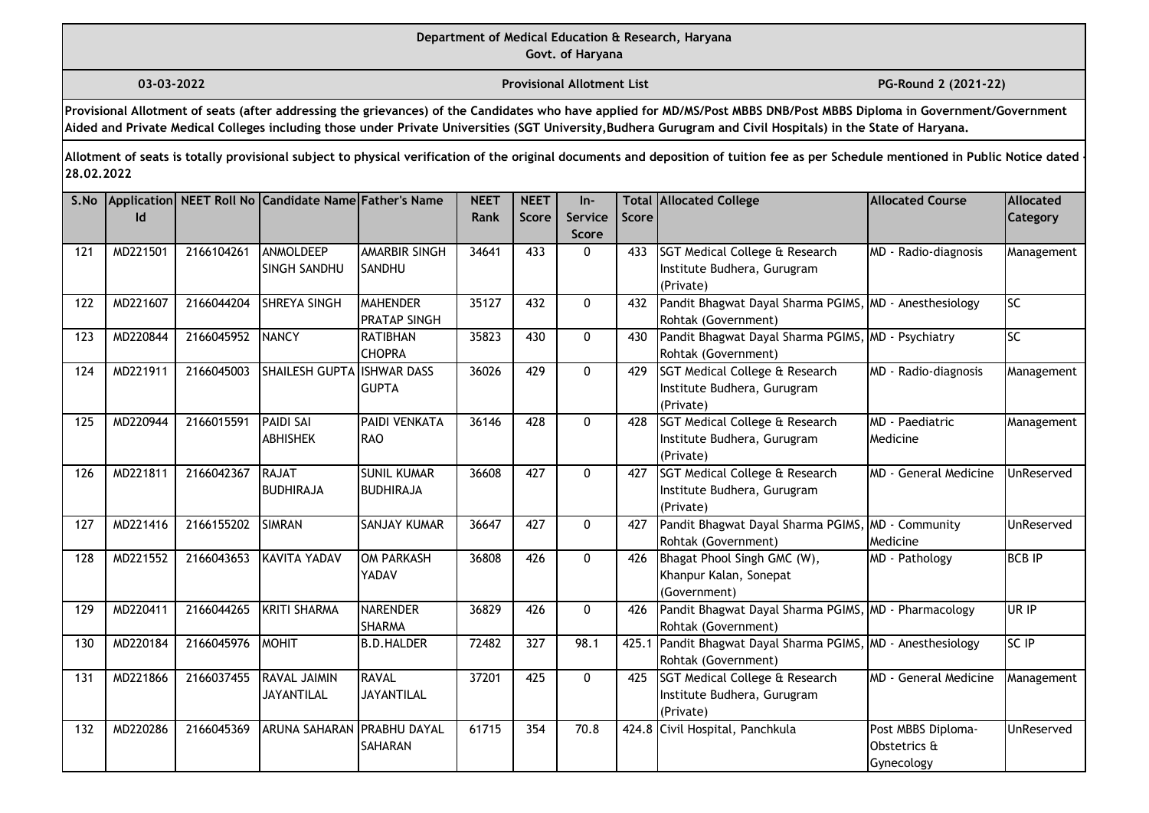**03-03-2022 Provisional Allotment List PG-Round 2 (2021-22)** 

**Provisional Allotment of seats (after addressing the grievances) of the Candidates who have applied for MD/MS/Post MBBS DNB/Post MBBS Diploma in Government/Government Aided and Private Medical Colleges including those under Private Universities (SGT University,Budhera Gurugram and Civil Hospitals) in the State of Haryana.**

| S.No | Id       |            | Application NEET Roll No Candidate Name Father's Name |                                        | <b>NEET</b><br>Rank | <b>NEET</b><br><b>Score</b> | $In-$<br>Service<br><b>Score</b> | Score | <b>Total Allocated College</b>                                                | <b>Allocated Course</b>                          | Allocated<br><b>Category</b> |
|------|----------|------------|-------------------------------------------------------|----------------------------------------|---------------------|-----------------------------|----------------------------------|-------|-------------------------------------------------------------------------------|--------------------------------------------------|------------------------------|
| 121  | MD221501 | 2166104261 | ANMOLDEEP<br>SINGH SANDHU                             | <b>AMARBIR SINGH</b><br>SANDHU         | 34641               | 433                         | $\mathbf{0}$                     | 433   | SGT Medical College & Research<br>Institute Budhera, Gurugram<br>(Private)    | MD - Radio-diagnosis                             | Management                   |
| 122  | MD221607 | 2166044204 | <b>SHREYA SINGH</b>                                   | <b>MAHENDER</b><br><b>PRATAP SINGH</b> | 35127               | 432                         | $\mathbf{0}$                     | 432   | Pandit Bhagwat Dayal Sharma PGIMS, MD - Anesthesiology<br>Rohtak (Government) |                                                  | lsc                          |
| 123  | MD220844 | 2166045952 | <b>NANCY</b>                                          | RATIBHAN<br><b>CHOPRA</b>              | 35823               | 430                         | $\mathbf{0}$                     | 430   | Pandit Bhagwat Dayal Sharma PGIMS, MD - Psychiatry<br>Rohtak (Government)     |                                                  | <b>Isc</b>                   |
| 124  | MD221911 | 2166045003 | <b>SHAILESH GUPTA</b>                                 | <b>ISHWAR DASS</b><br><b>GUPTA</b>     | 36026               | 429                         | $\mathbf{0}$                     | 429   | SGT Medical College & Research<br>Institute Budhera, Gurugram<br>(Private)    | MD - Radio-diagnosis                             | Management                   |
| 125  | MD220944 | 2166015591 | <b>PAIDI SAI</b><br><b>ABHISHEK</b>                   | PAIDI VENKATA<br>RAO                   | 36146               | 428                         | $\mathbf{0}$                     | 428   | SGT Medical College & Research<br>Institute Budhera, Gurugram<br>(Private)    | <b>MD</b> - Paediatric<br>Medicine               | Management                   |
| 126  | MD221811 | 2166042367 | <b>RAJAT</b><br><b>BUDHIRAJA</b>                      | <b>SUNIL KUMAR</b><br><b>BUDHIRAJA</b> | 36608               | 427                         | $\mathbf{0}$                     | 427   | SGT Medical College & Research<br>Institute Budhera, Gurugram<br>(Private)    | <b>MD</b> - General Medicine                     | <b>UnReserved</b>            |
| 127  | MD221416 | 2166155202 | <b>SIMRAN</b>                                         | <b>SANJAY KUMAR</b>                    | 36647               | 427                         | 0                                | 427   | Pandit Bhagwat Dayal Sharma PGIMS, MD - Community<br>Rohtak (Government)      | Medicine                                         | UnReserved                   |
| 128  | MD221552 | 2166043653 | KAVITA YADAV                                          | <b>OM PARKASH</b><br>YADAV             | 36808               | 426                         | $\mathbf{0}$                     | 426   | Bhagat Phool Singh GMC (W),<br>Khanpur Kalan, Sonepat<br>(Government)         | MD - Pathology                                   | <b>BCB IP</b>                |
| 129  | MD220411 | 2166044265 | KRITI SHARMA                                          | <b>NARENDER</b><br><b>SHARMA</b>       | 36829               | 426                         | $\mathbf 0$                      | 426   | Pandit Bhagwat Dayal Sharma PGIMS, MD - Pharmacology<br>Rohtak (Government)   |                                                  | UR IP                        |
| 130  | MD220184 | 2166045976 | MOHIT                                                 | <b>B.D.HALDER</b>                      | 72482               | 327                         | 98.1                             | 425.1 | Pandit Bhagwat Dayal Sharma PGIMS, MD - Anesthesiology<br>Rohtak (Government) |                                                  | <b>SC IP</b>                 |
| 131  | MD221866 | 2166037455 | <b>RAVAL JAIMIN</b><br><b>JAYANTILAL</b>              | RAVAL<br><b>JAYANTILAL</b>             | 37201               | 425                         | $\mathbf 0$                      | 425   | SGT Medical College & Research<br>Institute Budhera, Gurugram<br>(Private)    | <b>MD</b> - General Medicine                     | Management                   |
| 132  | MD220286 | 2166045369 | ARUNA SAHARAN PRABHU DAYAL                            | <b>SAHARAN</b>                         | 61715               | 354                         | 70.8                             |       | 424.8 Civil Hospital, Panchkula                                               | Post MBBS Diploma-<br>Obstetrics &<br>Gynecology | <b>UnReserved</b>            |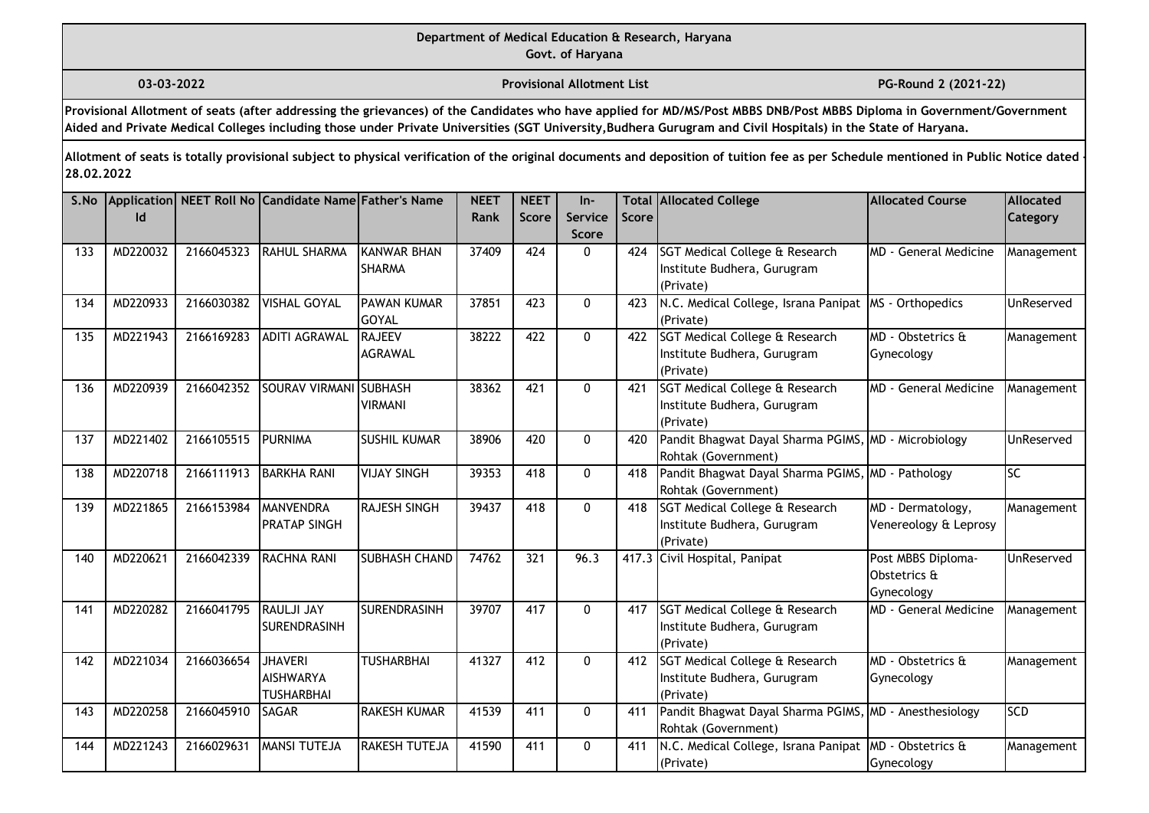# **Department of Medical Education & Research, Haryana**

**Govt. of Haryana**

**03-03-2022 Provisional Allotment List PG-Round 2 (2021-22)** 

**Provisional Allotment of seats (after addressing the grievances) of the Candidates who have applied for MD/MS/Post MBBS DNB/Post MBBS Diploma in Government/Government Aided and Private Medical Colleges including those under Private Universities (SGT University,Budhera Gurugram and Civil Hospitals) in the State of Haryana.**

| S.No | Id       |            | Application NEET Roll No Candidate Name Father's Name |                                    | <b>NEET</b><br>Rank | <b>NEET</b><br><b>Score</b> | $In-$<br>Service | Score | <b>Total Allocated College</b>                                                | <b>Allocated Course</b>                          | <b>Allocated</b><br>Category |
|------|----------|------------|-------------------------------------------------------|------------------------------------|---------------------|-----------------------------|------------------|-------|-------------------------------------------------------------------------------|--------------------------------------------------|------------------------------|
|      |          |            |                                                       |                                    |                     |                             | <b>Score</b>     |       |                                                                               |                                                  |                              |
| 133  | MD220032 | 2166045323 | <b>RAHUL SHARMA</b>                                   | KANWAR BHAN<br><b>SHARMA</b>       | 37409               | 424                         | $\mathbf{0}$     | 424   | SGT Medical College & Research<br>Institute Budhera, Gurugram<br>(Private)    | <b>MD</b> - General Medicine                     | Management                   |
| 134  | MD220933 | 2166030382 | <b>VISHAL GOYAL</b>                                   | <b>PAWAN KUMAR</b><br><b>GOYAL</b> | 37851               | 423                         | $\mathbf{0}$     | 423   | N.C. Medical College, Israna Panipat<br>(Private)                             | MS - Orthopedics                                 | UnReserved                   |
| 135  | MD221943 | 2166169283 | <b>ADITI AGRAWAL</b>                                  | <b>RAJEEV</b><br>AGRAWAL           | 38222               | 422                         | $\mathbf{0}$     | 422   | SGT Medical College & Research<br>Institute Budhera, Gurugram<br>(Private)    | MD - Obstetrics &<br>Gynecology                  | Management                   |
| 136  | MD220939 | 2166042352 | <b>SOURAV VIRMANI</b>                                 | <b>SUBHASH</b><br><b>VIRMANI</b>   | 38362               | 421                         | $\mathbf 0$      | 421   | SGT Medical College & Research<br>Institute Budhera, Gurugram<br>(Private)    | <b>MD</b> - General Medicine                     | Management                   |
| 137  | MD221402 | 2166105515 | <b>PURNIMA</b>                                        | <b>SUSHIL KUMAR</b>                | 38906               | 420                         | 0                | 420   | Pandit Bhagwat Dayal Sharma PGIMS, MD - Microbiology<br>Rohtak (Government)   |                                                  | <b>UnReserved</b>            |
| 138  | MD220718 | 2166111913 | <b>BARKHA RANI</b>                                    | <b>VIJAY SINGH</b>                 | 39353               | 418                         | $\mathbf{0}$     | 418   | Pandit Bhagwat Dayal Sharma PGIMS, MD - Pathology<br>Rohtak (Government)      |                                                  | SC                           |
| 139  | MD221865 | 2166153984 | MANVENDRA<br><b>PRATAP SINGH</b>                      | <b>RAJESH SINGH</b>                | 39437               | 418                         | $\mathbf 0$      | 418   | SGT Medical College & Research<br>Institute Budhera, Gurugram<br>(Private)    | MD - Dermatology,<br>Venereology & Leprosy       | Management                   |
| 140  | MD220621 | 2166042339 | RACHNA RANI                                           | <b>SUBHASH CHAND</b>               | 74762               | 321                         | 96.3             |       | 417.3 Civil Hospital, Panipat                                                 | Post MBBS Diploma-<br>Obstetrics &<br>Gynecology | UnReserved                   |
| 141  | MD220282 | 2166041795 | <b>RAULJI JAY</b><br>SURENDRASINH                     | <b>SURENDRASINH</b>                | 39707               | 417                         | $\mathbf{0}$     | 417   | SGT Medical College & Research<br>Institute Budhera, Gurugram<br>(Private)    | MD - General Medicine                            | Management                   |
| 142  | MD221034 | 2166036654 | <b>JHAVERI</b><br><b>AISHWARYA</b><br>TUSHARBHAI      | TUSHARBHAI                         | 41327               | 412                         | $\mathbf{0}$     | 412   | SGT Medical College & Research<br>Institute Budhera, Gurugram<br>(Private)    | MD - Obstetrics &<br>Gynecology                  | Management                   |
| 143  | MD220258 | 2166045910 | <b>SAGAR</b>                                          | <b>RAKESH KUMAR</b>                | 41539               | 411                         | $\mathbf{0}$     | 411   | Pandit Bhagwat Dayal Sharma PGIMS, MD - Anesthesiology<br>Rohtak (Government) |                                                  | <b>SCD</b>                   |
| 144  | MD221243 | 2166029631 | <b>MANSI TUTEJA</b>                                   | <b>RAKESH TUTEJA</b>               | 41590               | 411                         | 0                | 411   | N.C. Medical College, Israna Panipat<br>(Private)                             | MD - Obstetrics &<br>Gynecology                  | Management                   |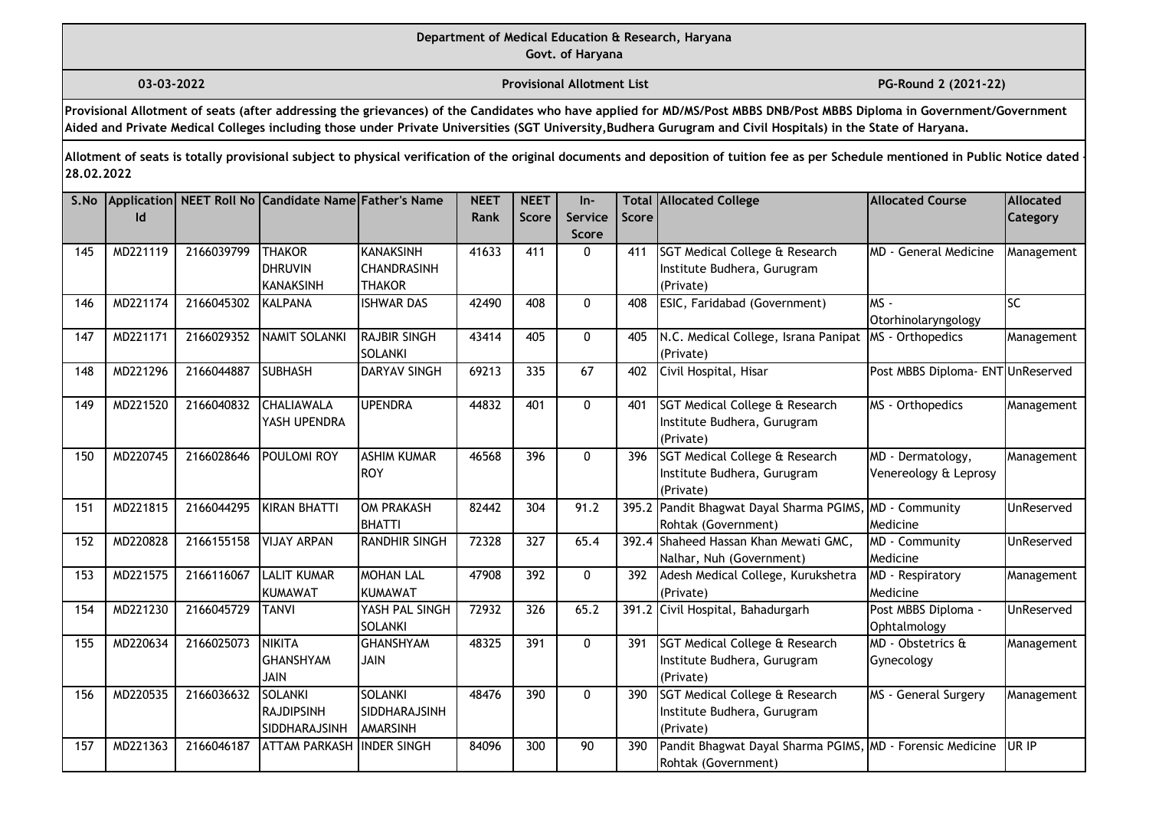**03-03-2022 Provisional Allotment List PG-Round 2 (2021-22)** 

**Provisional Allotment of seats (after addressing the grievances) of the Candidates who have applied for MD/MS/Post MBBS DNB/Post MBBS Diploma in Government/Government Aided and Private Medical Colleges including those under Private Universities (SGT University,Budhera Gurugram and Civil Hospitals) in the State of Haryana.**

| S.No | Id       |            | Application   NEET Roll No Candidate Name Father's Name |                                                         | <b>NEET</b><br>Rank | <b>NEET</b><br><b>Score</b> | $In-$<br>Service<br><b>Score</b> | Score | <b>Total Allocated College</b>                                                   | <b>Allocated Course</b>                      | <b>Allocated</b><br>Category |
|------|----------|------------|---------------------------------------------------------|---------------------------------------------------------|---------------------|-----------------------------|----------------------------------|-------|----------------------------------------------------------------------------------|----------------------------------------------|------------------------------|
| 145  | MD221119 | 2166039799 | <b>THAKOR</b><br><b>DHRUVIN</b><br><b>KANAKSINH</b>     | <b>KANAKSINH</b><br><b>CHANDRASINH</b><br><b>THAKOR</b> | 41633               | 411                         | $\mathbf{0}$                     | 411   | SGT Medical College & Research<br>Institute Budhera, Gurugram<br>(Private)       | <b>MD</b> - General Medicine                 | Management                   |
| 146  | MD221174 | 2166045302 | KALPANA                                                 | <b>ISHWAR DAS</b>                                       | 42490               | 408                         | $\mathbf 0$                      | 408   | ESIC, Faridabad (Government)                                                     | $MS -$<br>Otorhinolaryngology                | lsc                          |
| 147  | MD221171 | 2166029352 | NAMIT SOLANKI                                           | <b>RAJBIR SINGH</b><br>SOLANKI                          | 43414               | 405                         | $\mathbf 0$                      | 405   | N.C. Medical College, Israna Panipat<br>(Private)                                | MS - Orthopedics                             | Management                   |
| 148  | MD221296 | 2166044887 | <b>SUBHASH</b>                                          | <b>DARYAV SINGH</b>                                     | 69213               | 335                         | 67                               | 402   | Civil Hospital, Hisar                                                            | Post MBBS Diploma- ENT UnReserved            |                              |
| 149  | MD221520 | 2166040832 | <b>CHALIAWALA</b><br>YASH UPENDRA                       | <b>UPENDRA</b>                                          | 44832               | 401                         | $\mathbf{0}$                     | 401   | SGT Medical College & Research<br>Institute Budhera, Gurugram<br>(Private)       | MS - Orthopedics                             | Management                   |
| 150  | MD220745 | 2166028646 | POULOMI ROY                                             | <b>ASHIM KUMAR</b><br>ROY                               | 46568               | 396                         | $\mathbf{0}$                     | 396   | SGT Medical College & Research<br>Institute Budhera, Gurugram<br>(Private)       | MD - Dermatology,<br>Venereology & Leprosy   | Management                   |
| 151  | MD221815 | 2166044295 | KIRAN BHATTI                                            | OM PRAKASH<br>BHATTI                                    | 82442               | 304                         | 91.2                             |       | 395.2 Pandit Bhagwat Dayal Sharma PGIMS<br>Rohtak (Government)                   | MD - Community<br>Medicine                   | UnReserved                   |
| 152  | MD220828 | 2166155158 | <b>VIJAY ARPAN</b>                                      | <b>RANDHIR SINGH</b>                                    | 72328               | 327                         | 65.4                             |       | 392.4 Shaheed Hassan Khan Mewati GMC,<br>Nalhar, Nuh (Government)                | MD - Community<br>Medicine                   | UnReserved                   |
| 153  | MD221575 | 2166116067 | <b>LALIT KUMAR</b><br>KUMAWAT                           | <b>MOHAN LAL</b><br>KUMAWAT                             | 47908               | 392                         | $\mathbf 0$                      | 392   | Adesh Medical College, Kurukshetra<br>(Private)                                  | MD - Respiratory<br>Medicine                 | Management                   |
| 154  | MD221230 | 2166045729 | <b>TANVI</b>                                            | YASH PAL SINGH<br><b>SOLANKI</b>                        | 72932               | 326                         | 65.2                             |       | 391.2 Civil Hospital, Bahadurgarh                                                | Post MBBS Diploma -<br>Ophtalmology          | UnReserved                   |
| 155  | MD220634 | 2166025073 | NIKITA<br><b>GHANSHYAM</b><br><b>HIAL</b>               | <b>GHANSHYAM</b><br><b>JAIN</b>                         | 48325               | 391                         | $\mathbf{0}$                     | 391   | SGT Medical College & Research<br>Institute Budhera, Gurugram<br>(Private)       | $\overline{MD}$ - Obstetrics &<br>Gynecology | Management                   |
| 156  | MD220535 | 2166036632 | SOLANKI<br><b>RAJDIPSINH</b><br>SIDDHARAJSINH           | <b>SOLANKI</b><br>SIDDHARAJSINH<br><b>AMARSINH</b>      | 48476               | $\overline{390}$            | $\mathbf 0$                      | 390   | SGT Medical College & Research<br>Institute Budhera, Gurugram<br>(Private)       | MS - General Surgery                         | Management                   |
| 157  | MD221363 | 2166046187 | <b>ATTAM PARKASH INDER SINGH</b>                        |                                                         | 84096               | 300                         | 90                               | 390   | Pandit Bhagwat Dayal Sharma PGIMS, MD - Forensic Medicine<br>Rohtak (Government) |                                              | UR IP                        |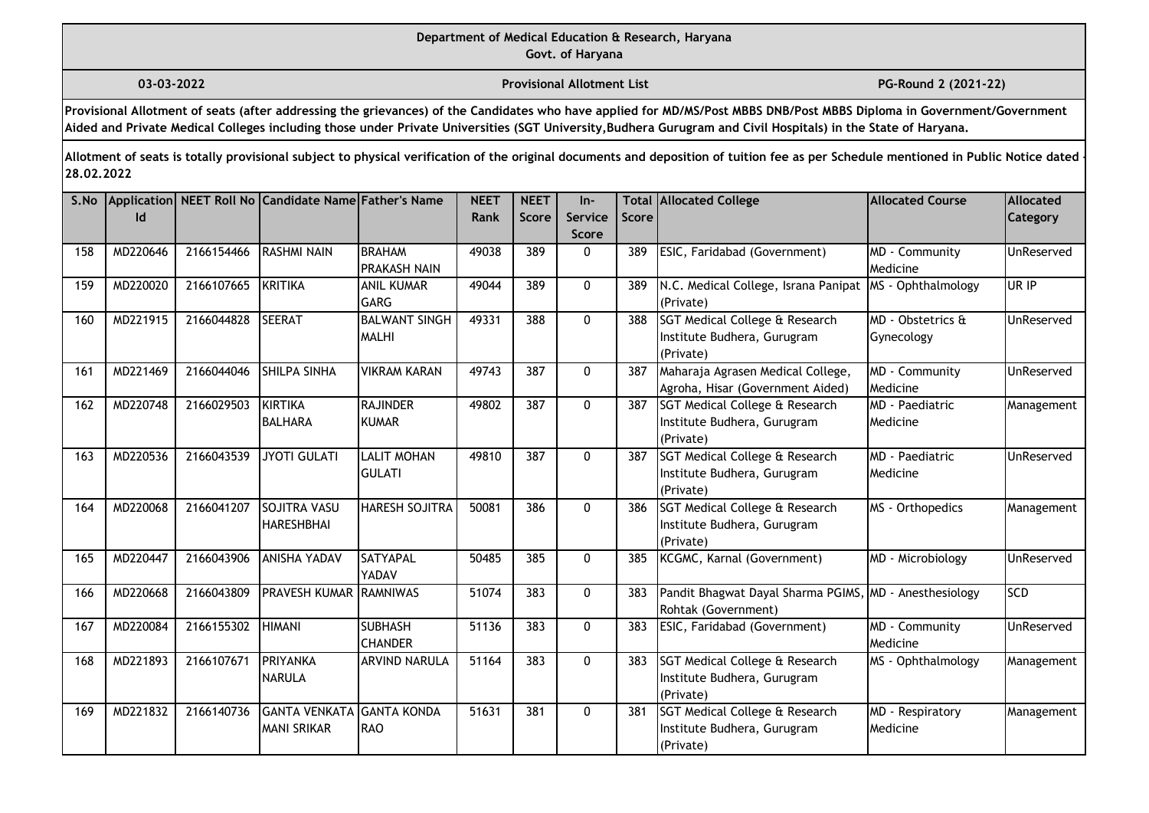**03-03-2022 Provisional Allotment List PG-Round 2 (2021-22)** 

**Provisional Allotment of seats (after addressing the grievances) of the Candidates who have applied for MD/MS/Post MBBS DNB/Post MBBS Diploma in Government/Government Aided and Private Medical Colleges including those under Private Universities (SGT University,Budhera Gurugram and Civil Hospitals) in the State of Haryana.**

| S.No | Id       |            | Application NEET Roll No Candidate Name Father's Name  |                                      | <b>NEET</b><br>Rank | <b>NEET</b><br><b>Score</b> | $In-$<br><b>Service</b><br><b>Score</b> | Score | <b>Total Allocated College</b>                                                        | <b>Allocated Course</b>            | Allocated<br><b>Category</b> |
|------|----------|------------|--------------------------------------------------------|--------------------------------------|---------------------|-----------------------------|-----------------------------------------|-------|---------------------------------------------------------------------------------------|------------------------------------|------------------------------|
| 158  | MD220646 | 2166154466 | <b>RASHMI NAIN</b>                                     | <b>BRAHAM</b><br><b>PRAKASH NAIN</b> | 49038               | 389                         | $\mathbf{0}$                            | 389   | ESIC, Faridabad (Government)                                                          | MD - Community<br>Medicine         | UnReserved                   |
| 159  | MD220020 | 2166107665 | KRITIKA                                                | <b>ANIL KUMAR</b><br><b>GARG</b>     | 49044               | 389                         | $\mathbf{0}$                            | 389   | N.C. Medical College, Israna Panipat<br>(Private)                                     | MS - Ophthalmology                 | UR IP                        |
| 160  | MD221915 | 2166044828 | <b>SEERAT</b>                                          | <b>BALWANT SINGH</b><br><b>MALHI</b> | 49331               | 388                         | $\mathbf{0}$                            | 388   | SGT Medical College & Research<br>Institute Budhera, Gurugram<br>(Private)            | MD - Obstetrics &<br>Gynecology    | UnReserved                   |
| 161  | MD221469 | 2166044046 | <b>SHILPA SINHA</b>                                    | <b>VIKRAM KARAN</b>                  | 49743               | 387                         | $\mathbf 0$                             | 387   | Maharaja Agrasen Medical College,<br>Agroha, Hisar (Government Aided)                 | MD - Community<br>Medicine         | <b>UnReserved</b>            |
| 162  | MD220748 | 2166029503 | Ikirtika<br><b>BALHARA</b>                             | <b>RAJINDER</b><br><b>KUMAR</b>      | 49802               | 387                         | $\mathbf{0}$                            | 387   | SGT Medical College & Research<br>Institute Budhera, Gurugram<br>(Private)            | MD - Paediatric<br>Medicine        | Management                   |
| 163  | MD220536 | 2166043539 | <b>JYOTI GULATI</b>                                    | <b>LALIT MOHAN</b><br><b>GULATI</b>  | 49810               | 387                         | $\mathbf{0}$                            | 387   | <b>SGT Medical College &amp; Research</b><br>Institute Budhera, Gurugram<br>(Private) | MD - Paediatric<br><b>Medicine</b> | <b>UnReserved</b>            |
| 164  | MD220068 | 2166041207 | <b>SOJITRA VASU</b><br>HARESHBHAI                      | <b>HARESH SOJITRA</b>                | 50081               | 386                         | $\mathbf 0$                             | 386   | SGT Medical College & Research<br>Institute Budhera, Gurugram<br>(Private)            | MS - Orthopedics                   | Management                   |
| 165  | MD220447 | 2166043906 | <b>ANISHA YADAV</b>                                    | <b>SATYAPAL</b><br>YADAV             | 50485               | 385                         | $\mathbf{0}$                            | 385   | KCGMC, Karnal (Government)                                                            | MD - Microbiology                  | UnReserved                   |
| 166  | MD220668 | 2166043809 | PRAVESH KUMAR RAMNIWAS                                 |                                      | 51074               | 383                         | $\mathbf{0}$                            | 383   | Pandit Bhagwat Dayal Sharma PGIMS, MD - Anesthesiology<br>Rohtak (Government)         |                                    | <b>SCD</b>                   |
| 167  | MD220084 | 2166155302 | <b>HIMANI</b>                                          | <b>SUBHASH</b><br><b>CHANDER</b>     | 51136               | 383                         | $\mathbf{0}$                            | 383   | ESIC, Faridabad (Government)                                                          | MD - Community<br>Medicine         | UnReserved                   |
| 168  | MD221893 | 2166107671 | <b>PRIYANKA</b><br><b>NARULA</b>                       | ARVIND NARULA                        | 51164               | 383                         | $\mathbf{0}$                            | 383   | SGT Medical College & Research<br>Institute Budhera, Gurugram<br>(Private)            | MS - Ophthalmology                 | Management                   |
| 169  | MD221832 | 2166140736 | <b>GANTA VENKATA GANTA KONDA</b><br><b>MANI SRIKAR</b> | <b>I</b> RAO                         | 51631               | 381                         | $\mathbf 0$                             | 381   | SGT Medical College & Research<br>Institute Budhera, Gurugram<br>(Private)            | MD - Respiratory<br>Medicine       | Management                   |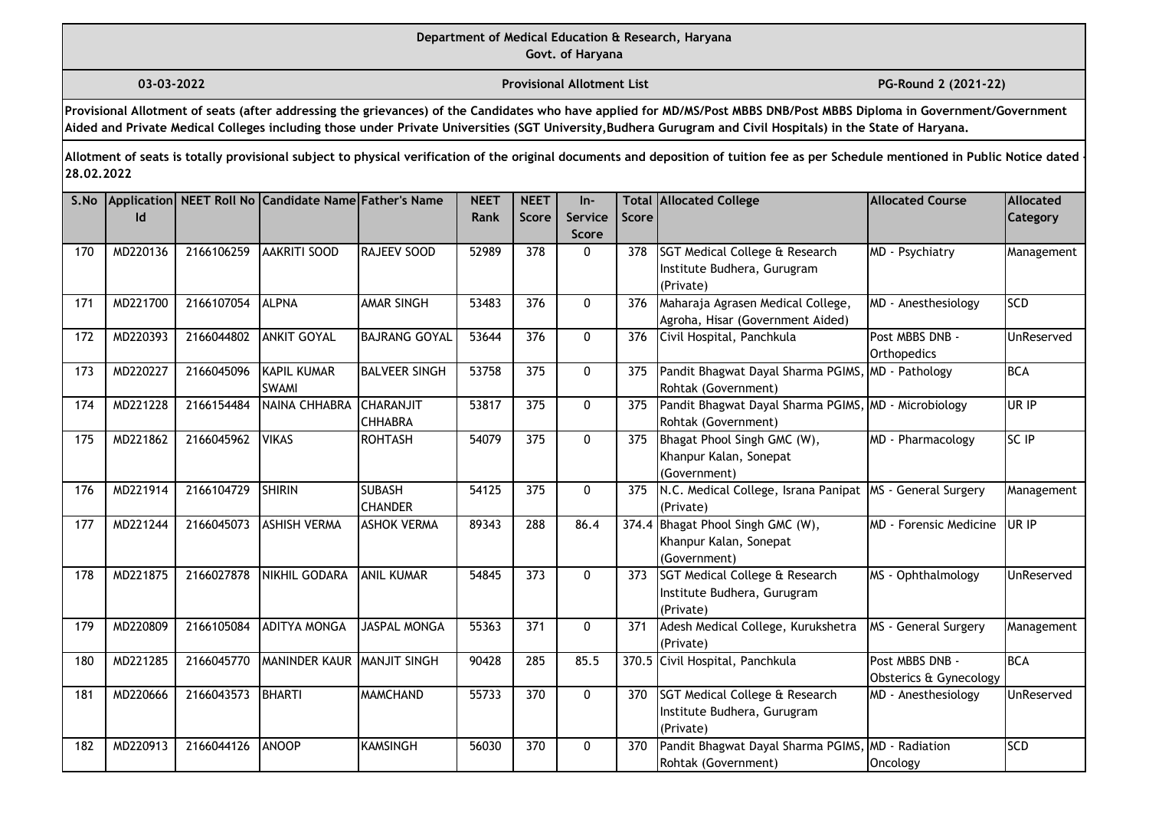**03-03-2022 Provisional Allotment List PG-Round 2 (2021-22)** 

**Provisional Allotment of seats (after addressing the grievances) of the Candidates who have applied for MD/MS/Post MBBS DNB/Post MBBS Diploma in Government/Government Aided and Private Medical Colleges including those under Private Universities (SGT University,Budhera Gurugram and Civil Hospitals) in the State of Haryana.**

| S.No | Id       |            | Application NEET Roll No Candidate Name Father's Name |                                    | <b>NEET</b><br>Rank | <b>NEET</b><br><b>Score</b> | $In-$<br><b>Service</b><br><b>Score</b> | Score | <b>Total Allocated College</b>                                              | <b>Allocated Course</b>                   | Allocated<br>Category |
|------|----------|------------|-------------------------------------------------------|------------------------------------|---------------------|-----------------------------|-----------------------------------------|-------|-----------------------------------------------------------------------------|-------------------------------------------|-----------------------|
| 170  | MD220136 | 2166106259 | <b>AAKRITI SOOD</b>                                   | <b>RAJEEV SOOD</b>                 | 52989               | 378                         | $\mathbf{0}$                            | 378   | SGT Medical College & Research<br>Institute Budhera, Gurugram<br>(Private)  | MD - Psychiatry                           | Management            |
| 171  | MD221700 | 2166107054 | <b>ALPNA</b>                                          | AMAR SINGH                         | 53483               | 376                         | 0                                       | 376   | Maharaja Agrasen Medical College,<br>Agroha, Hisar (Government Aided)       | MD - Anesthesiology                       | <b>SCD</b>            |
| 172  | MD220393 | 2166044802 | <b>ANKIT GOYAL</b>                                    | <b>BAJRANG GOYAL</b>               | 53644               | 376                         | 0                                       | 376   | Civil Hospital, Panchkula                                                   | Post MBBS DNB -<br>Orthopedics            | <b>UnReserved</b>     |
| 173  | MD220227 | 2166045096 | KAPIL KUMAR<br><b>SWAMI</b>                           | <b>BALVEER SINGH</b>               | 53758               | 375                         | 0                                       | 375   | Pandit Bhagwat Dayal Sharma PGIMS,<br>Rohtak (Government)                   | MD - Pathology                            | <b>BCA</b>            |
| 174  | MD221228 | 2166154484 | NAINA CHHABRA                                         | <b>CHARANJIT</b><br><b>CHHABRA</b> | 53817               | 375                         | $\mathbf 0$                             | 375   | Pandit Bhagwat Dayal Sharma PGIMS, MD - Microbiology<br>Rohtak (Government) |                                           | UR IP                 |
| 175  | MD221862 | 2166045962 | <b>VIKAS</b>                                          | <b>ROHTASH</b>                     | 54079               | $\overline{375}$            | $\mathbf 0$                             | 375   | Bhagat Phool Singh GMC (W),<br>Khanpur Kalan, Sonepat<br>(Government)       | MD - Pharmacology                         | SC IP                 |
| 176  | MD221914 | 2166104729 | SHIRIN                                                | <b>SUBASH</b><br><b>CHANDER</b>    | 54125               | 375                         | 0                                       | 375   | N.C. Medical College, Israna Panipat<br>(Private)                           | MS - General Surgery                      | Management            |
| 177  | MD221244 | 2166045073 | <b>ASHISH VERMA</b>                                   | <b>ASHOK VERMA</b>                 | 89343               | 288                         | 86.4                                    |       | 374.4 Bhagat Phool Singh GMC (W),<br>Khanpur Kalan, Sonepat<br>(Government) | <b>MD</b> - Forensic Medicine             | UR IP                 |
| 178  | MD221875 | 2166027878 | <b>NIKHIL GODARA</b>                                  | <b>ANIL KUMAR</b>                  | 54845               | 373                         | $\mathbf{0}$                            | 373   | SGT Medical College & Research<br>Institute Budhera, Gurugram<br>(Private)  | MS - Ophthalmology                        | UnReserved            |
| 179  | MD220809 | 2166105084 | <b>ADITYA MONGA</b>                                   | <b>JASPAL MONGA</b>                | 55363               | 371                         | $\mathbf{0}$                            | 371   | Adesh Medical College, Kurukshetra<br>(Private)                             | MS - General Surgery                      | Management            |
| 180  | MD221285 | 2166045770 | <b>MANINDER KAUR</b>                                  | <b>MANJIT SINGH</b>                | 90428               | 285                         | 85.5                                    |       | 370.5 Civil Hospital, Panchkula                                             | Post MBBS DNB -<br>Obsterics & Gynecology | <b>BCA</b>            |
| 181  | MD220666 | 2166043573 | BHARTI                                                | <b>MAMCHAND</b>                    | 55733               | $\overline{370}$            | $\mathbf 0$                             | 370   | SGT Medical College & Research<br>Institute Budhera, Gurugram<br>(Private)  | MD - Anesthesiology                       | UnReserved            |
| 182  | MD220913 | 2166044126 | <b>ANOOP</b>                                          | <b>KAMSINGH</b>                    | 56030               | 370                         | 0                                       | 370   | Pandit Bhagwat Dayal Sharma PGIMS, MD - Radiation<br>Rohtak (Government)    | Oncology                                  | <b>SCD</b>            |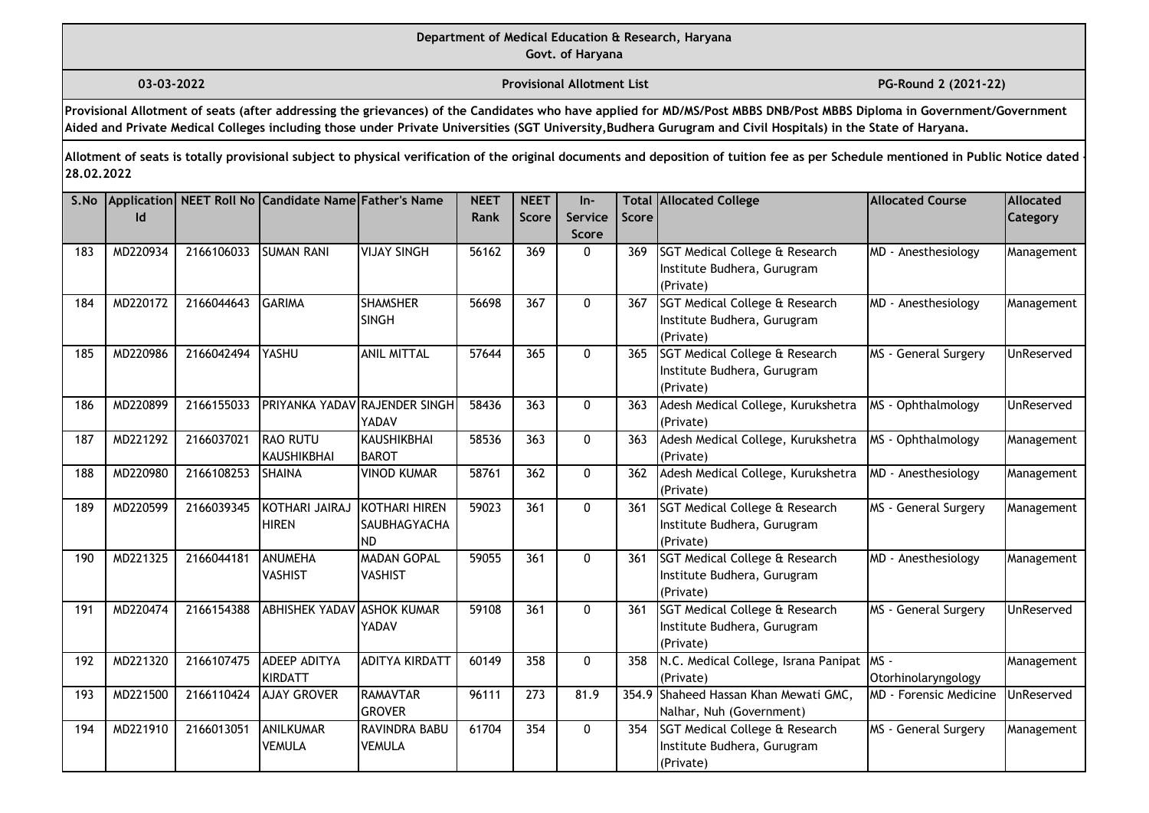**03-03-2022 Provisional Allotment List PG-Round 2 (2021-22)** 

**Provisional Allotment of seats (after addressing the grievances) of the Candidates who have applied for MD/MS/Post MBBS DNB/Post MBBS Diploma in Government/Government Aided and Private Medical Colleges including those under Private Universities (SGT University,Budhera Gurugram and Civil Hospitals) in the State of Haryana.**

| S.No | Id       |            | Application NEET Roll No Candidate Name Father's Name |                                                   | <b>NEET</b><br>Rank | <b>NEET</b><br><b>Score</b> | $In-$<br>Service<br><b>Score</b> | Score | <b>Total Allocated College</b>                                                        | <b>Allocated Course</b>       | Allocated<br>Category |
|------|----------|------------|-------------------------------------------------------|---------------------------------------------------|---------------------|-----------------------------|----------------------------------|-------|---------------------------------------------------------------------------------------|-------------------------------|-----------------------|
| 183  | MD220934 | 2166106033 | <b>SUMAN RANI</b>                                     | <b>VIJAY SINGH</b>                                | 56162               | 369                         | $\mathbf{0}$                     | 369   | SGT Medical College & Research<br>Institute Budhera, Gurugram<br>(Private)            | MD - Anesthesiology           | Management            |
| 184  | MD220172 | 2166044643 | <b>GARIMA</b>                                         | <b>SHAMSHER</b><br><b>SINGH</b>                   | 56698               | 367                         | $\mathbf{0}$                     | 367   | SGT Medical College & Research<br>Institute Budhera, Gurugram<br>(Private)            | MD - Anesthesiology           | Management            |
| 185  | MD220986 | 2166042494 | YASHU                                                 | <b>ANIL MITTAL</b>                                | 57644               | 365                         | $\Omega$                         | 365   | SGT Medical College & Research<br>Institute Budhera, Gurugram<br>(Private)            | MS - General Surgery          | UnReserved            |
| 186  | MD220899 | 2166155033 | PRIYANKA YADAV RAJENDER SINGH                         | YADAV                                             | 58436               | 363                         | $\mathbf{0}$                     | 363   | Adesh Medical College, Kurukshetra<br>(Private)                                       | MS - Ophthalmology            | UnReserved            |
| 187  | MD221292 | 2166037021 | <b>RAO RUTU</b><br><b>KAUSHIKBHAI</b>                 | <b>KAUSHIKBHAI</b><br><b>BAROT</b>                | 58536               | 363                         | 0                                | 363   | Adesh Medical College, Kurukshetra<br>(Private)                                       | MS - Ophthalmology            | Management            |
| 188  | MD220980 | 2166108253 | <b>SHAINA</b>                                         | <b>VINOD KUMAR</b>                                | 58761               | 362                         | 0                                | 362   | Adesh Medical College, Kurukshetra<br>(Private)                                       | MD - Anesthesiology           | Management            |
| 189  | MD220599 | 2166039345 | KOTHARI JAIRAJ<br><b>HIREN</b>                        | <b>KOTHARI HIREN</b><br>SAUBHAGYACHA<br><b>ND</b> | 59023               | 361                         | $\mathbf{0}$                     | 361   | SGT Medical College & Research<br>Institute Budhera, Gurugram<br>(Private)            | MS - General Surgery          | Management            |
| 190  | MD221325 | 2166044181 | <b>ANUMEHA</b><br><b>VASHIST</b>                      | <b>MADAN GOPAL</b><br><b>VASHIST</b>              | 59055               | 361                         | $\mathbf{0}$                     | 361   | <b>SGT Medical College &amp; Research</b><br>Institute Budhera, Gurugram<br>(Private) | MD - Anesthesiology           | Management            |
| 191  | MD220474 | 2166154388 | <b>ABHISHEK YADAV</b>                                 | <b>ASHOK KUMAR</b><br>YADAV                       | 59108               | 361                         | $\mathbf{0}$                     | 361   | SGT Medical College & Research<br>Institute Budhera, Gurugram<br>(Private)            | MS - General Surgery          | UnReserved            |
| 192  | MD221320 | 2166107475 | ADEEP ADITYA<br><b>KIRDATT</b>                        | <b>ADITYA KIRDATT</b>                             | 60149               | 358                         | 0                                | 358   | N.C. Medical College, Israna Panipat<br>(Private)                                     | $MS -$<br>Otorhinolaryngology | Management            |
| 193  | MD221500 | 2166110424 | <b>AJAY GROVER</b>                                    | <b>RAMAVTAR</b><br><b>GROVER</b>                  | 96111               | $\overline{273}$            | 81.9                             |       | 354.9 Shaheed Hassan Khan Mewati GMC,<br>Nalhar, Nuh (Government)                     | <b>MD</b> - Forensic Medicine | UnReserved            |
| 194  | MD221910 | 2166013051 | ANILKUMAR<br>VEMULA                                   | RAVINDRA BABU<br><b>VEMULA</b>                    | 61704               | 354                         | $\mathbf 0$                      | 354   | SGT Medical College & Research<br>Institute Budhera, Gurugram<br>(Private)            | MS - General Surgery          | Management            |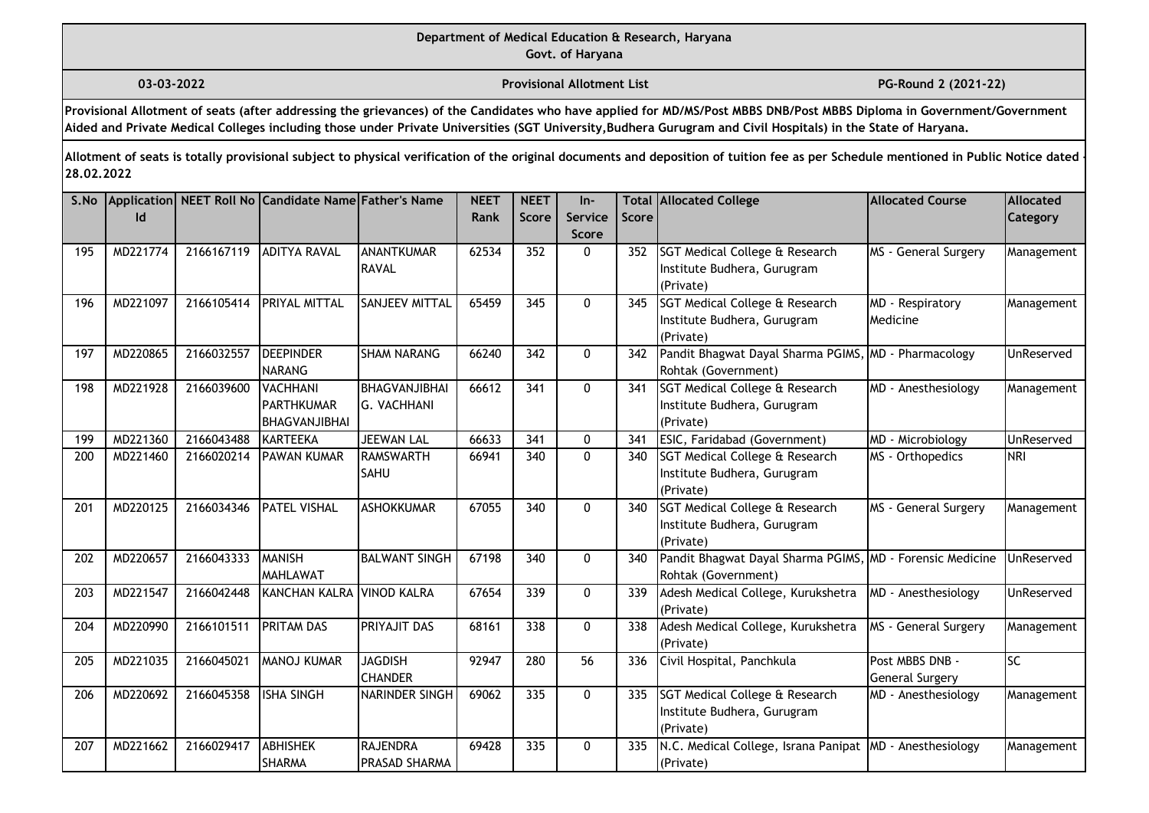**03-03-2022 Provisional Allotment List PG-Round 2 (2021-22)** 

**Provisional Allotment of seats (after addressing the grievances) of the Candidates who have applied for MD/MS/Post MBBS DNB/Post MBBS Diploma in Government/Government Aided and Private Medical Colleges including those under Private Universities (SGT University,Budhera Gurugram and Civil Hospitals) in the State of Haryana.**

| S.No | Id       |            | Application NEET Roll No Candidate Name Father's Name |                                            | <b>NEET</b><br>Rank | <b>NEET</b><br><b>Score</b> | $In-$<br>Service<br><b>Score</b> | Score | <b>Total Allocated College</b>                                                   | <b>Allocated Course</b>                   | Allocated<br>Category |
|------|----------|------------|-------------------------------------------------------|--------------------------------------------|---------------------|-----------------------------|----------------------------------|-------|----------------------------------------------------------------------------------|-------------------------------------------|-----------------------|
| 195  | MD221774 | 2166167119 | <b>ADITYA RAVAL</b>                                   | <b>ANANTKUMAR</b><br><b>RAVAL</b>          | 62534               | 352                         | $\mathbf{0}$                     | 352   | SGT Medical College & Research<br>Institute Budhera, Gurugram<br>(Private)       | MS - General Surgery                      | Management            |
| 196  | MD221097 | 2166105414 | <b>PRIYAL MITTAL</b>                                  | SANJEEV MITTAL                             | 65459               | 345                         | 0                                | 345   | SGT Medical College & Research<br>Institute Budhera, Gurugram<br>(Private)       | MD - Respiratory<br>Medicine              | Management            |
| 197  | MD220865 | 2166032557 | <b>DEEPINDER</b><br><b>NARANG</b>                     | <b>SHAM NARANG</b>                         | 66240               | 342                         | $\mathbf{0}$                     | 342   | Pandit Bhagwat Dayal Sharma PGIMS, MD - Pharmacology<br>Rohtak (Government)      |                                           | UnReserved            |
| 198  | MD221928 | 2166039600 | <b>VACHHANI</b><br>PARTHKUMAR<br>BHAGVANJIBHAI        | <b>BHAGVANJIBHAI</b><br><b>G. VACHHANI</b> | 66612               | 341                         | $\mathbf{0}$                     | 341   | SGT Medical College & Research<br>Institute Budhera, Gurugram<br>(Private)       | MD - Anesthesiology                       | Management            |
| 199  | MD221360 | 2166043488 | KARTEEKA                                              | <b>JEEWAN LAL</b>                          | 66633               | 341                         | $\mathbf{0}$                     | 341   | ESIC, Faridabad (Government)                                                     | MD - Microbiology                         | UnReserved            |
| 200  | MD221460 | 2166020214 | <b>PAWAN KUMAR</b>                                    | <b>RAMSWARTH</b><br><b>SAHU</b>            | 66941               | 340                         | 0                                | 340   | SGT Medical College & Research<br>Institute Budhera, Gurugram<br>(Private)       | MS - Orthopedics                          | <b>NRI</b>            |
| 201  | MD220125 | 2166034346 | <b>PATEL VISHAL</b>                                   | <b>ASHOKKUMAR</b>                          | 67055               | 340                         | $\mathbf{0}$                     | 340   | SGT Medical College & Research<br>Institute Budhera, Gurugram<br>(Private)       | MS - General Surgery                      | Management            |
| 202  | MD220657 | 2166043333 | <b>MANISH</b><br>MAHLAWAT                             | <b>BALWANT SINGH</b>                       | 67198               | 340                         | 0                                | 340   | Pandit Bhagwat Dayal Sharma PGIMS, MD - Forensic Medicine<br>Rohtak (Government) |                                           | <b>UnReserved</b>     |
| 203  | MD221547 | 2166042448 | KANCHAN KALRA VINOD KALRA                             |                                            | 67654               | 339                         | 0                                | 339   | Adesh Medical College, Kurukshetra<br>(Private)                                  | MD - Anesthesiology                       | UnReserved            |
| 204  | MD220990 | 2166101511 | <b>PRITAM DAS</b>                                     | PRIYAJIT DAS                               | 68161               | 338                         | 0                                | 338   | Adesh Medical College, Kurukshetra<br>(Private)                                  | MS - General Surgery                      | Management            |
| 205  | MD221035 | 2166045021 | MANOJ KUMAR                                           | <b>JAGDISH</b><br><b>CHANDER</b>           | 92947               | 280                         | 56                               | 336   | Civil Hospital, Panchkula                                                        | Post MBBS DNB -<br><b>General Surgery</b> | SC                    |
| 206  | MD220692 | 2166045358 | <b>ISHA SINGH</b>                                     | NARINDER SINGH                             | 69062               | 335                         | $\mathbf 0$                      | 335   | SGT Medical College & Research<br>Institute Budhera, Gurugram<br>(Private)       | MD - Anesthesiology                       | Management            |
| 207  | MD221662 | 2166029417 | <b>ABHISHEK</b><br><b>SHARMA</b>                      | <b>RAJENDRA</b><br>PRASAD SHARMA           | 69428               | 335                         | 0                                | 335   | N.C. Medical College, Israna Panipat   MD - Anesthesiology<br>(Private)          |                                           | Management            |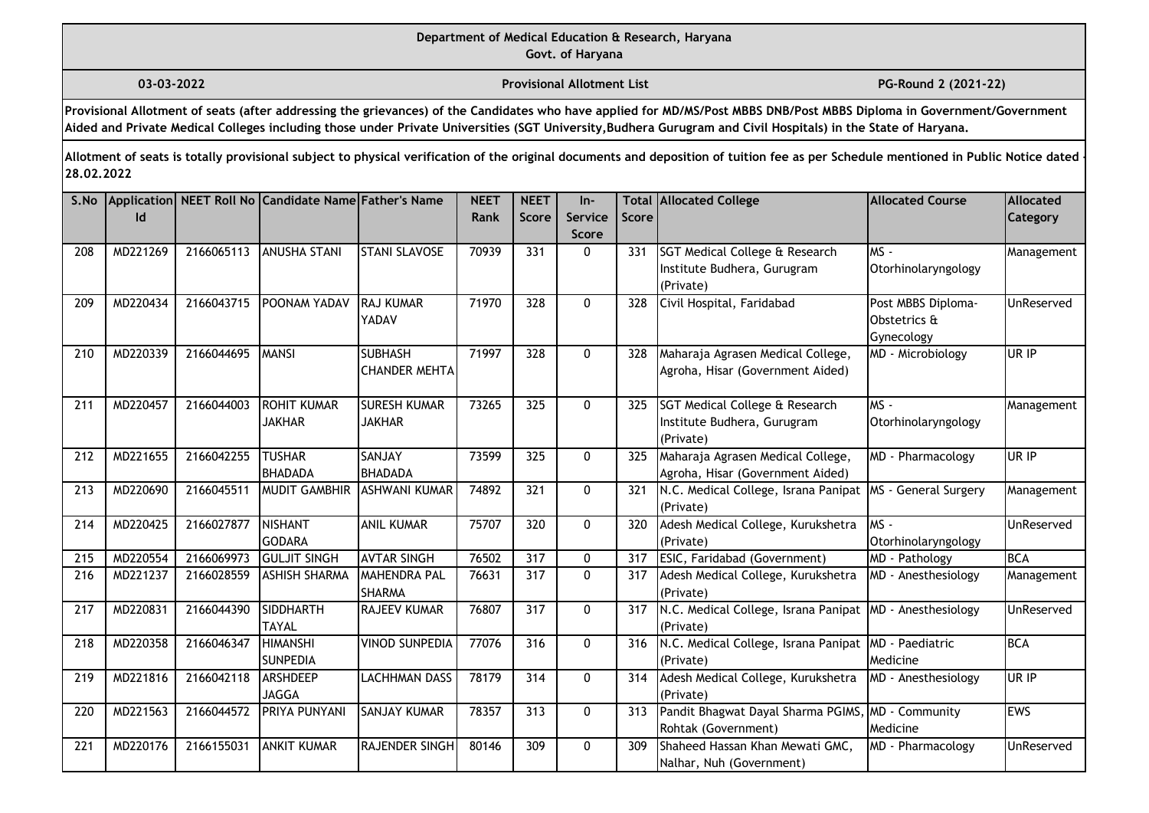**03-03-2022 Provisional Allotment List PG-Round 2 (2021-22)** 

**Provisional Allotment of seats (after addressing the grievances) of the Candidates who have applied for MD/MS/Post MBBS DNB/Post MBBS Diploma in Government/Government Aided and Private Medical Colleges including those under Private Universities (SGT University,Budhera Gurugram and Civil Hospitals) in the State of Haryana.**

| S.No | Id       |            | Application   NEET Roll No Candidate Name Father's Name |                                        | <b>NEET</b><br>Rank | <b>NEET</b><br>Score | $In-$<br>Service | <b>Score</b> | <b>Total Allocated College</b>                                             | <b>Allocated Course</b>                          | <b>Allocated</b><br>Category |
|------|----------|------------|---------------------------------------------------------|----------------------------------------|---------------------|----------------------|------------------|--------------|----------------------------------------------------------------------------|--------------------------------------------------|------------------------------|
|      |          |            |                                                         |                                        |                     |                      | <b>Score</b>     |              |                                                                            |                                                  |                              |
| 208  | MD221269 | 2166065113 | <b>ANUSHA STANI</b>                                     | <b>STANI SLAVOSE</b>                   | 70939               | 331                  | $\mathbf{0}$     | 331          | SGT Medical College & Research<br>Institute Budhera, Gurugram<br>(Private) | MS-<br>Otorhinolaryngology                       | Management                   |
| 209  | MD220434 | 2166043715 | <b>POONAM YADAV</b>                                     | <b>RAJ KUMAR</b><br>YADAV              | 71970               | 328                  | $\mathbf{0}$     | 328          | Civil Hospital, Faridabad                                                  | Post MBBS Diploma-<br>Obstetrics &<br>Gynecology | UnReserved                   |
| 210  | MD220339 | 2166044695 | <b>MANSI</b>                                            | <b>SUBHASH</b><br><b>CHANDER MEHTA</b> | 71997               | 328                  | $\mathbf{0}$     | 328          | Maharaja Agrasen Medical College,<br>Agroha, Hisar (Government Aided)      | MD - Microbiology                                | UR IP                        |
| 211  | MD220457 | 2166044003 | <b>ROHIT KUMAR</b><br><b>JAKHAR</b>                     | <b>SURESH KUMAR</b><br><b>JAKHAR</b>   | 73265               | 325                  | $\Omega$         | 325          | SGT Medical College & Research<br>Institute Budhera, Gurugram<br>(Private) | MS -<br>Otorhinolaryngology                      | Management                   |
| 212  | MD221655 | 2166042255 | <b>TUSHAR</b><br>BHADADA                                | SANJAY<br><b>BHADADA</b>               | 73599               | 325                  | 0                | 325          | Maharaja Agrasen Medical College,<br>Agroha, Hisar (Government Aided)      | MD - Pharmacology                                | UR IP                        |
| 213  | MD220690 | 2166045511 | <b>MUDIT GAMBHIR</b>                                    | <b>ASHWANI KUMAR</b>                   | 74892               | 321                  | 0                | 321          | N.C. Medical College, Israna Panipat<br>(Private)                          | MS - General Surgery                             | Management                   |
| 214  | MD220425 | 2166027877 | NISHANT<br><b>GODARA</b>                                | <b>ANIL KUMAR</b>                      | 75707               | 320                  | $\mathbf{0}$     | 320          | Adesh Medical College, Kurukshetra<br>(Private)                            | $MS -$<br>Otorhinolaryngology                    | UnReserved                   |
| 215  | MD220554 | 2166069973 | <b>GULJIT SINGH</b>                                     | <b>AVTAR SINGH</b>                     | 76502               | 317                  | 0                | 317          | ESIC, Faridabad (Government)                                               | MD - Pathology                                   | <b>BCA</b>                   |
| 216  | MD221237 | 2166028559 | <b>ASHISH SHARMA</b>                                    | <b>MAHENDRA PAL</b><br><b>SHARMA</b>   | 76631               | 317                  | 0                | 317          | Adesh Medical College, Kurukshetra<br>(Private)                            | MD - Anesthesiology                              | Management                   |
| 217  | MD220831 | 2166044390 | <b>SIDDHARTH</b><br><b>TAYAL</b>                        | <b>RAJEEV KUMAR</b>                    | 76807               | 317                  | $\mathbf 0$      | 317          | N.C. Medical College, Israna Panipat<br>(Private)                          | MD - Anesthesiology                              | UnReserved                   |
| 218  | MD220358 | 2166046347 | <b>HIMANSHI</b><br><b>SUNPEDIA</b>                      | <b>VINOD SUNPEDIA</b>                  | 77076               | 316                  | 0                | 316          | N.C. Medical College, Israna Panipat MD - Paediatric<br>(Private)          | Medicine                                         | <b>BCA</b>                   |
| 219  | MD221816 | 2166042118 | ARSHDEEP<br><b>JAGGA</b>                                | <b>LACHHMAN DASS</b>                   | 78179               | 314                  | 0                | 314          | Adesh Medical College, Kurukshetra<br>(Private)                            | MD - Anesthesiology                              | UR IP                        |
| 220  | MD221563 | 2166044572 | <b>PRIYA PUNYANI</b>                                    | <b>SANJAY KUMAR</b>                    | 78357               | 313                  | $\mathbf{0}$     | 313          | Pandit Bhagwat Dayal Sharma PGIMS<br>Rohtak (Government)                   | MD - Community<br>Medicine                       | <b>EWS</b>                   |
| 221  | MD220176 | 2166155031 | <b>ANKIT KUMAR</b>                                      | RAJENDER SINGH                         | 80146               | 309                  | 0                | 309          | Shaheed Hassan Khan Mewati GMC,<br>Nalhar, Nuh (Government)                | MD - Pharmacology                                | UnReserved                   |